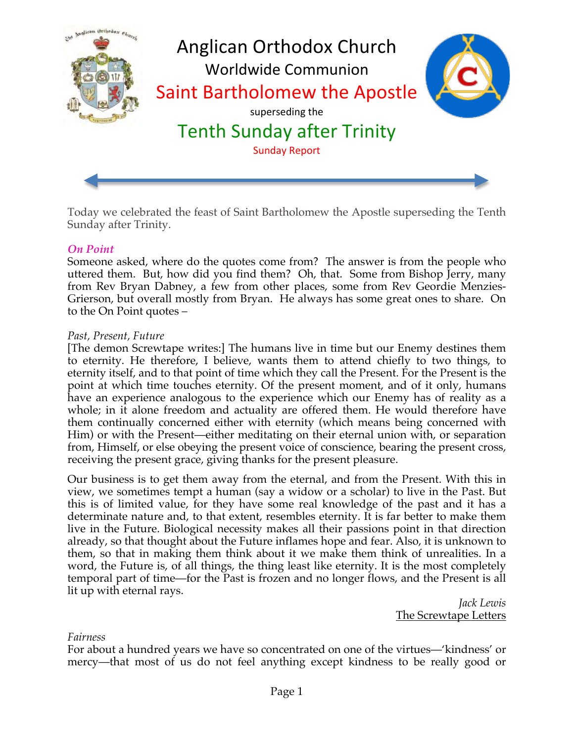

Today we celebrated the feast of Saint Bartholomew the Apostle superseding the Tenth Sunday after Trinity.

### *On Point*

Someone asked, where do the quotes come from? The answer is from the people who uttered them. But, how did you find them? Oh, that. Some from Bishop Jerry, many from Rev Bryan Dabney, a few from other places, some from Rev Geordie Menzies-Grierson, but overall mostly from Bryan. He always has some great ones to share. On to the On Point quotes –

#### *Past, Present, Future*

[The demon Screwtape writes:] The humans live in time but our Enemy destines them to eternity. He therefore, I believe, wants them to attend chiefly to two things, to eternity itself, and to that point of time which they call the Present. For the Present is the point at which time touches eternity. Of the present moment, and of it only, humans have an experience analogous to the experience which our Enemy has of reality as a whole; in it alone freedom and actuality are offered them. He would therefore have them continually concerned either with eternity (which means being concerned with Him) or with the Present—either meditating on their eternal union with, or separation from, Himself, or else obeying the present voice of conscience, bearing the present cross, receiving the present grace, giving thanks for the present pleasure.

Our business is to get them away from the eternal, and from the Present. With this in view, we sometimes tempt a human (say a widow or a scholar) to live in the Past. But this is of limited value, for they have some real knowledge of the past and it has a determinate nature and, to that extent, resembles eternity. It is far better to make them live in the Future. Biological necessity makes all their passions point in that direction already, so that thought about the Future inflames hope and fear. Also, it is unknown to them, so that in making them think about it we make them think of unrealities. In a word, the Future is, of all things, the thing least like eternity. It is the most completely temporal part of time—for the Past is frozen and no longer flows, and the Present is all lit up with eternal rays.

*Jack Lewis* The Screwtape Letters

#### *Fairness*

For about a hundred years we have so concentrated on one of the virtues—'kindness' or mercy—that most of us do not feel anything except kindness to be really good or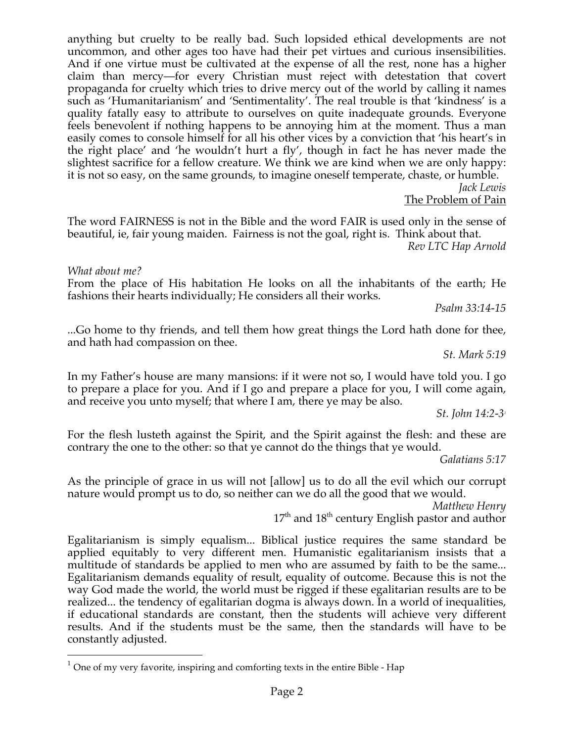anything but cruelty to be really bad. Such lopsided ethical developments are not uncommon, and other ages too have had their pet virtues and curious insensibilities. And if one virtue must be cultivated at the expense of all the rest, none has a higher claim than mercy—for every Christian must reject with detestation that covert propaganda for cruelty which tries to drive mercy out of the world by calling it names such as 'Humanitarianism' and 'Sentimentality'. The real trouble is that 'kindness' is a quality fatally easy to attribute to ourselves on quite inadequate grounds. Everyone feels benevolent if nothing happens to be annoying him at the moment. Thus a man easily comes to console himself for all his other vices by a conviction that 'his heart's in the right place' and 'he wouldn't hurt a fly', though in fact he has never made the slightest sacrifice for a fellow creature. We think we are kind when we are only happy: it is not so easy, on the same grounds, to imagine oneself temperate, chaste, or humble.

*Jack Lewis* The Problem of Pain

The word FAIRNESS is not in the Bible and the word FAIR is used only in the sense of beautiful, ie, fair young maiden. Fairness is not the goal, right is. Think about that. *Rev LTC Hap Arnold*

*What about me?*

From the place of His habitation He looks on all the inhabitants of the earth; He fashions their hearts individually; He considers all their works.

*Psalm 33:14-15*

...Go home to thy friends, and tell them how great things the Lord hath done for thee, and hath had compassion on thee.

*St. Mark 5:19*

In my Father's house are many mansions: if it were not so, I would have told you. I go to prepare a place for you. And if I go and prepare a place for you, I will come again, and receive you unto myself; that where I am, there ye may be also.

*St. John 14:2-31*

For the flesh lusteth against the Spirit, and the Spirit against the flesh: and these are contrary the one to the other: so that ye cannot do the things that ye would.

*Galatians 5:17*

As the principle of grace in us will not [allow] us to do all the evil which our corrupt nature would prompt us to do, so neither can we do all the good that we would.

*Matthew Henry*

17<sup>th</sup> and 18<sup>th</sup> century English pastor and author

Egalitarianism is simply equalism... Biblical justice requires the same standard be applied equitably to very different men. Humanistic egalitarianism insists that a multitude of standards be applied to men who are assumed by faith to be the same... Egalitarianism demands equality of result, equality of outcome. Because this is not the way God made the world, the world must be rigged if these egalitarian results are to be realized... the tendency of egalitarian dogma is always down. In a world of inequalities, if educational standards are constant, then the students will achieve very different results. And if the students must be the same, then the standards will have to be constantly adjusted.

 $1$  One of my very favorite, inspiring and comforting texts in the entire Bible - Hap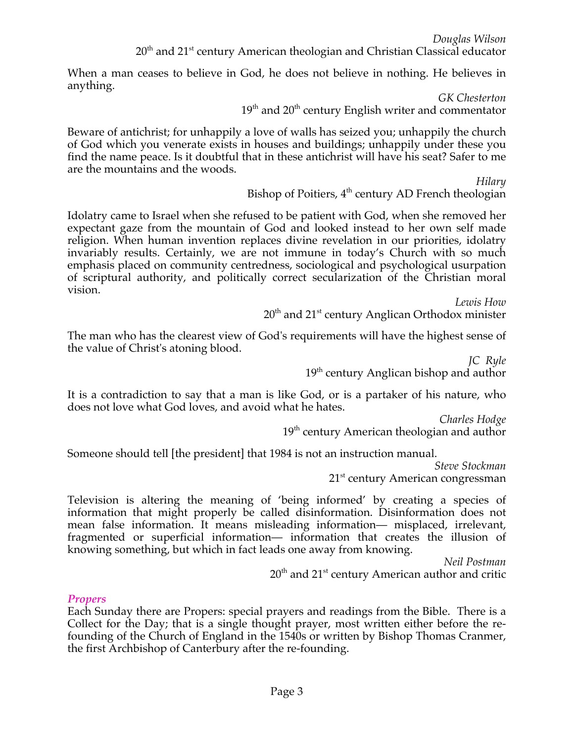*Douglas Wilson* 20<sup>th</sup> and 21<sup>st</sup> century American theologian and Christian Classical educator

When a man ceases to believe in God, he does not believe in nothing. He believes in anything.

> *GK Chesterton*  $19<sup>th</sup>$  and  $20<sup>th</sup>$  century English writer and commentator

Beware of antichrist; for unhappily a love of walls has seized you; unhappily the church of God which you venerate exists in houses and buildings; unhappily under these you find the name peace. Is it doubtful that in these antichrist will have his seat? Safer to me are the mountains and the woods.

*Hilary*

Bishop of Poitiers,  $4<sup>th</sup>$  century AD French theologian

Idolatry came to Israel when she refused to be patient with God, when she removed her expectant gaze from the mountain of God and looked instead to her own self made religion. When human invention replaces divine revelation in our priorities, idolatry invariably results. Certainly, we are not immune in today's Church with so much emphasis placed on community centredness, sociological and psychological usurpation of scriptural authority, and politically correct secularization of the Christian moral vision.

*Lewis How*

20<sup>th</sup> and 21<sup>st</sup> century Anglican Orthodox minister

The man who has the clearest view of God's requirements will have the highest sense of the value of Christ's atoning blood.

> *JC Ryle*  $19<sup>th</sup>$  century Anglican bishop and author

It is a contradiction to say that a man is like God, or is a partaker of his nature, who does not love what God loves, and avoid what he hates.

*Charles Hodge*

 $19<sup>th</sup>$  century American theologian and author

Someone should tell [the president] that 1984 is not an instruction manual.

*Steve Stockman* 21<sup>st</sup> century American congressman

Television is altering the meaning of 'being informed' by creating a species of information that might properly be called disinformation. Disinformation does not mean false information. It means misleading information— misplaced, irrelevant, fragmented or superficial information— information that creates the illusion of knowing something, but which in fact leads one away from knowing.

*Neil Postman*

 $20<sup>th</sup>$  and  $21<sup>st</sup>$  century American author and critic

### *Propers*

Each Sunday there are Propers: special prayers and readings from the Bible. There is a Collect for the Day; that is a single thought prayer, most written either before the refounding of the Church of England in the 1540s or written by Bishop Thomas Cranmer, the first Archbishop of Canterbury after the re-founding.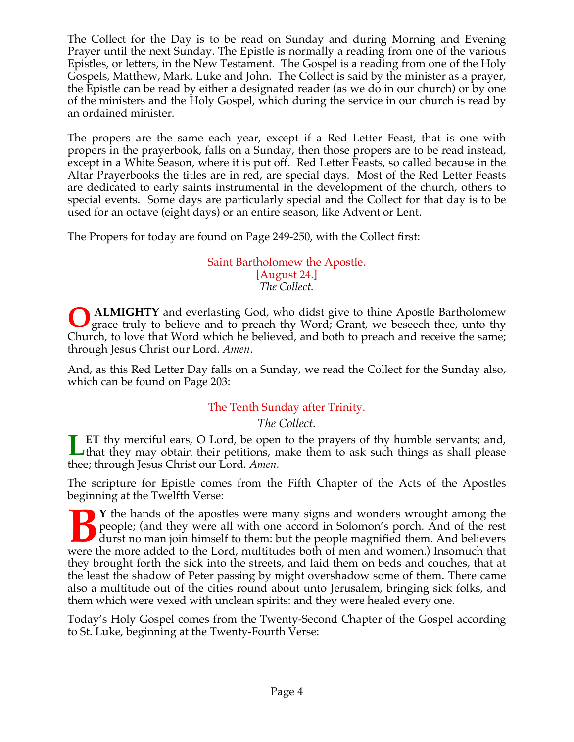The Collect for the Day is to be read on Sunday and during Morning and Evening Prayer until the next Sunday. The Epistle is normally a reading from one of the various Epistles, or letters, in the New Testament. The Gospel is a reading from one of the Holy Gospels, Matthew, Mark, Luke and John. The Collect is said by the minister as a prayer, the Epistle can be read by either a designated reader (as we do in our church) or by one of the ministers and the Holy Gospel, which during the service in our church is read by an ordained minister.

The propers are the same each year, except if a Red Letter Feast, that is one with propers in the prayerbook, falls on a Sunday, then those propers are to be read instead, except in a White Season, where it is put off. Red Letter Feasts, so called because in the Altar Prayerbooks the titles are in red, are special days. Most of the Red Letter Feasts are dedicated to early saints instrumental in the development of the church, others to special events. Some days are particularly special and the Collect for that day is to be used for an octave (eight days) or an entire season, like Advent or Lent.

The Propers for today are found on Page 249-250, with the Collect first:

### Saint Bartholomew the Apostle. [August 24.] *The Collect.*

 **ALMIGHTY** and everlasting God, who didst give to thine Apostle Bartholomew grace truly to believe and to preach thy Word; Grant, we beseech thee, unto thy Church, to love that Word which he believed, and both to preach and receive the same; through Jesus Christ our Lord. *Amen*. **O**

And, as this Red Letter Day falls on a Sunday, we read the Collect for the Sunday also, which can be found on Page 203:

## The Tenth Sunday after Trinity.

## *The Collect.*

**ET** thy merciful ears, O Lord, be open to the prayers of thy humble servants; and, **Let** thy merciful ears, O Lord, be open to the prayers of thy humble servants; and, that they may obtain their petitions, make them to ask such things as shall please thee; through Jesus Christ our Lord. *Amen.*

The scripture for Epistle comes from the Fifth Chapter of the Acts of the Apostles beginning at the Twelfth Verse:

**T** Y the hands of the apostles were many signs and wonders wrought among the people; (and they were all with one accord in Solomon's porch. And of the rest durst no man join himself to them: but the people magnified them. And believers were the more added to the Lord, multitudes both of men and women.) Insomuch that they brought forth the sick into the streets, and laid them on beds and couches, that at the least the shadow of Peter passing by might overshadow some of them. There came also a multitude out of the cities round about unto Jerusalem, bringing sick folks, and them which were vexed with unclean spirits: and they were healed every one. **B**

Today's Holy Gospel comes from the Twenty-Second Chapter of the Gospel according to St. Luke, beginning at the Twenty-Fourth Verse: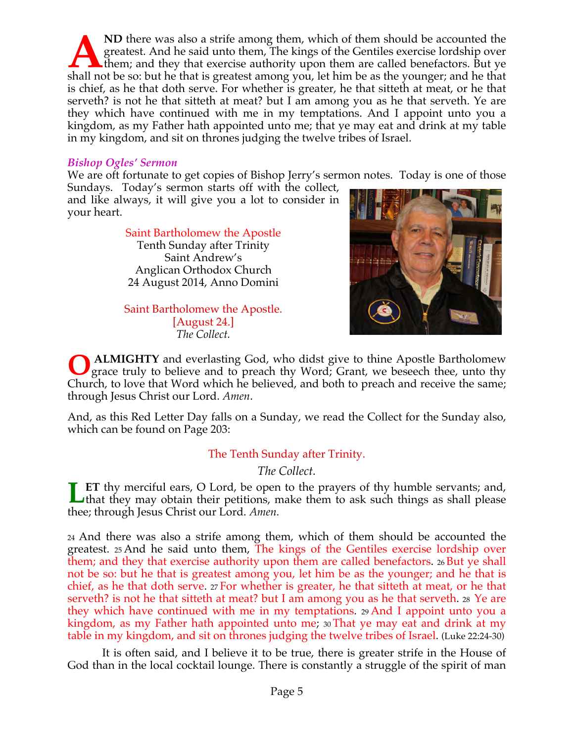**ND** there was also a strife among them, which of them should be accounted the greatest. And he said unto them, The kings of the Gentiles exercise lordship over them; and they that exercise authority upon them are called benefactors. But ye Shall not be so: but he that is greatest among you, let him be as the younger; and the that is greatest among you, let him be as the younger; and he that that is greatest among you, let him be as the younger; and he that i is chief, as he that doth serve. For whether is greater, he that sitteth at meat, or he that serveth? is not he that sitteth at meat? but I am among you as he that serveth. Ye are they which have continued with me in my temptations. And I appoint unto you a kingdom, as my Father hath appointed unto me; that ye may eat and drink at my table in my kingdom, and sit on thrones judging the twelve tribes of Israel.

### *Bishop Ogles' Sermon*

We are oft fortunate to get copies of Bishop Jerry's sermon notes. Today is one of those

Sundays. Today's sermon starts off with the collect, and like always, it will give you a lot to consider in your heart.

#### Saint Bartholomew the Apostle Tenth Sunday after Trinity Saint Andrew's

Anglican Orthodox Church 24 August 2014, Anno Domini

Saint Bartholomew the Apostle. [August 24.] *The Collect.*



 **ALMIGHTY** and everlasting God, who didst give to thine Apostle Bartholomew grace truly to believe and to preach thy Word; Grant, we beseech thee, unto thy Church, to love that Word which he believed, and both to preach and receive the same; through Jesus Christ our Lord. *Amen*. **O**

And, as this Red Letter Day falls on a Sunday, we read the Collect for the Sunday also, which can be found on Page 203:

## The Tenth Sunday after Trinity.

*The Collect.*

**ET** thy merciful ears, O Lord, be open to the prayers of thy humble servants; and, that they may obtain their petitions, make them to ask such things as shall please thee; through Jesus Christ our Lord. *Amen.* **L**

24 And there was also a strife among them, which of them should be accounted the greatest. 25 And he said unto them, The kings of the Gentiles exercise lordship over them; and they that exercise authority upon them are called benefactors. 26 But ye shall not be so: but he that is greatest among you, let him be as the younger; and he that is chief, as he that doth serve. 27 For whether is greater, he that sitteth at meat, or he that serveth? is not he that sitteth at meat? but I am among you as he that serveth. 28 Ye are they which have continued with me in my temptations. 29 And I appoint unto you a kingdom, as my Father hath appointed unto me; 30 That ye may eat and drink at my table in my kingdom, and sit on thrones judging the twelve tribes of Israel. (Luke 22:24-30)

 It is often said, and I believe it to be true, there is greater strife in the House of God than in the local cocktail lounge. There is constantly a struggle of the spirit of man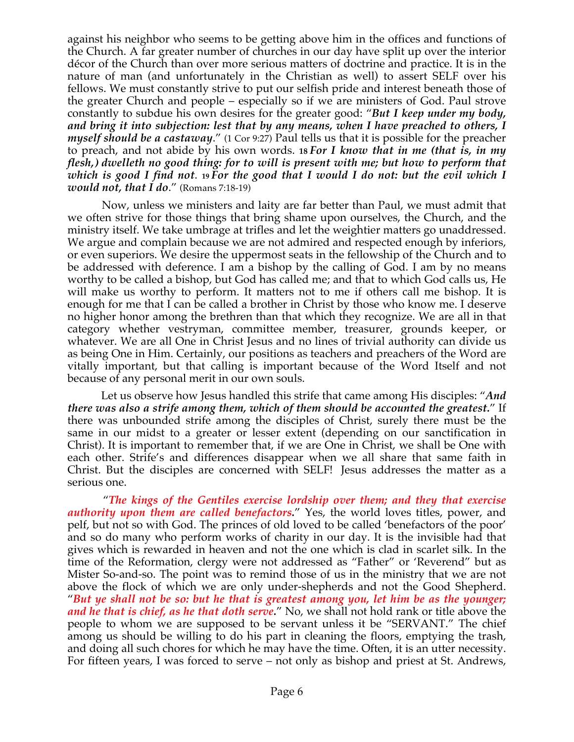against his neighbor who seems to be getting above him in the offices and functions of the Church. A far greater number of churches in our day have split up over the interior décor of the Church than over more serious matters of doctrine and practice. It is in the nature of man (and unfortunately in the Christian as well) to assert SELF over his fellows. We must constantly strive to put our selfish pride and interest beneath those of the greater Church and people – especially so if we are ministers of God. Paul strove constantly to subdue his own desires for the greater good: "*But I keep under my body, and bring it into subjection: lest that by any means, when I have preached to others, I myself should be a castaway*." (1 Cor 9:27) Paul tells us that it is possible for the preacher to preach, and not abide by his own words. **18** *For I know that in me (that is, in my flesh,) dwelleth no good thing: for to will is present with me; but how to perform that which is good I find not*. **<sup>19</sup>** *For the good that I would I do not: but the evil which I would not, that I do*." (Romans 7:18-19)

 Now, unless we ministers and laity are far better than Paul, we must admit that we often strive for those things that bring shame upon ourselves, the Church, and the ministry itself. We take umbrage at trifles and let the weightier matters go unaddressed. We argue and complain because we are not admired and respected enough by inferiors, or even superiors. We desire the uppermost seats in the fellowship of the Church and to be addressed with deference. I am a bishop by the calling of God. I am by no means worthy to be called a bishop, but God has called me; and that to which God calls us, He will make us worthy to perform. It matters not to me if others call me bishop. It is enough for me that I can be called a brother in Christ by those who know me. I deserve no higher honor among the brethren than that which they recognize. We are all in that category whether vestryman, committee member, treasurer, grounds keeper, or whatever. We are all One in Christ Jesus and no lines of trivial authority can divide us as being One in Him. Certainly, our positions as teachers and preachers of the Word are vitally important, but that calling is important because of the Word Itself and not because of any personal merit in our own souls.

 Let us observe how Jesus handled this strife that came among His disciples: "*And there was also a strife among them, which of them should be accounted the greatest.*" If there was unbounded strife among the disciples of Christ, surely there must be the same in our midst to a greater or lesser extent (depending on our sanctification in Christ). It is important to remember that, if we are One in Christ, we shall be One with each other. Strife's and differences disappear when we all share that same faith in Christ. But the disciples are concerned with SELF! Jesus addresses the matter as a serious one.

 "*The kings of the Gentiles exercise lordship over them; and they that exercise authority upon them are called benefactors.*" Yes, the world loves titles, power, and pelf, but not so with God. The princes of old loved to be called 'benefactors of the poor' and so do many who perform works of charity in our day. It is the invisible had that gives which is rewarded in heaven and not the one which is clad in scarlet silk. In the time of the Reformation, clergy were not addressed as "Father" or 'Reverend" but as Mister So-and-so. The point was to remind those of us in the ministry that we are not above the flock of which we are only under-shepherds and not the Good Shepherd. "*But ye shall not be so: but he that is greatest among you, let him be as the younger; and he that is chief, as he that doth serve.*" No, we shall not hold rank or title above the people to whom we are supposed to be servant unless it be "SERVANT." The chief among us should be willing to do his part in cleaning the floors, emptying the trash, and doing all such chores for which he may have the time. Often, it is an utter necessity. For fifteen years, I was forced to serve – not only as bishop and priest at St. Andrews,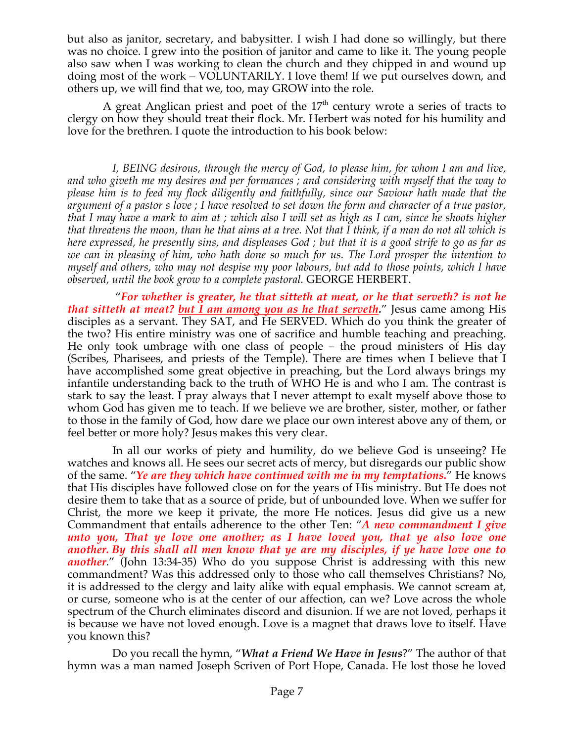but also as janitor, secretary, and babysitter. I wish I had done so willingly, but there was no choice. I grew into the position of janitor and came to like it. The young people also saw when I was working to clean the church and they chipped in and wound up doing most of the work – VOLUNTARILY. I love them! If we put ourselves down, and others up, we will find that we, too, may GROW into the role.

A great Anglican priest and poet of the  $17<sup>th</sup>$  century wrote a series of tracts to clergy on how they should treat their flock. Mr. Herbert was noted for his humility and love for the brethren. I quote the introduction to his book below:

*I, BEING desirous, through the mercy of God, to please him, for whom I am and live, and who giveth me my desires and per formances ; and considering with myself that the way to please him is to feed my flock diligently and faithfully, since our Saviour hath made that the argument of a pastor s love ; I have resolved to set down the form and character of a true pastor, that I may have a mark to aim at ; which also I will set as high as I can, since he shoots higher that threatens the moon, than he that aims at a tree. Not that I think, if a man do not all which is here expressed, he presently sins, and displeases God ; but that it is a good strife to go as far as we can in pleasing of him, who hath done so much for us. The Lord prosper the intention to myself and others, who may not despise my poor labours, but add to those points, which I have observed, until the book grow to a complete pastoral.* GEORGE HERBERT.

 "*For whether is greater, he that sitteth at meat, or he that serveth? is not he that sitteth at meat? but I am among you as he that serveth.*" Jesus came among His disciples as a servant. They SAT, and He SERVED. Which do you think the greater of the two? His entire ministry was one of sacrifice and humble teaching and preaching. He only took umbrage with one class of people – the proud ministers of His day (Scribes, Pharisees, and priests of the Temple). There are times when I believe that I have accomplished some great objective in preaching, but the Lord always brings my infantile understanding back to the truth of WHO He is and who I am. The contrast is stark to say the least. I pray always that I never attempt to exalt myself above those to whom God has given me to teach. If we believe we are brother, sister, mother, or father to those in the family of God, how dare we place our own interest above any of them, or feel better or more holy? Jesus makes this very clear.

In all our works of piety and humility, do we believe God is unseeing? He watches and knows all. He sees our secret acts of mercy, but disregards our public show of the same. "*Ye are they which have continued with me in my temptations.*" He knows that His disciples have followed close on for the years of His ministry. But He does not desire them to take that as a source of pride, but of unbounded love. When we suffer for Christ, the more we keep it private, the more He notices. Jesus did give us a new Commandment that entails adherence to the other Ten: "*A new commandment I give unto you, That ye love one another; as I have loved you, that ye also love one another. By this shall all men know that ye are my disciples, if ye have love one to another*." (John 13:34-35) Who do you suppose Christ is addressing with this new commandment? Was this addressed only to those who call themselves Christians? No, it is addressed to the clergy and laity alike with equal emphasis. We cannot scream at, or curse, someone who is at the center of our affection, can we? Love across the whole spectrum of the Church eliminates discord and disunion. If we are not loved, perhaps it is because we have not loved enough. Love is a magnet that draws love to itself. Have you known this?

Do you recall the hymn, "*What a Friend We Have in Jesus*?" The author of that hymn was a man named Joseph Scriven of Port Hope, Canada. He lost those he loved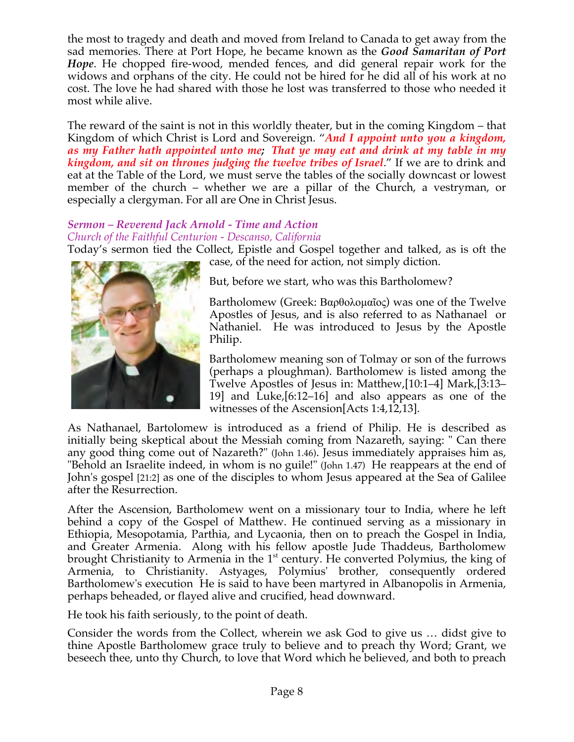the most to tragedy and death and moved from Ireland to Canada to get away from the sad memories. There at Port Hope, he became known as the *Good Samaritan of Port Hope*. He chopped fire-wood, mended fences, and did general repair work for the widows and orphans of the city. He could not be hired for he did all of his work at no cost. The love he had shared with those he lost was transferred to those who needed it most while alive.

The reward of the saint is not in this worldly theater, but in the coming Kingdom – that Kingdom of which Christ is Lord and Sovereign. "*And I appoint unto you a kingdom, as my Father hath appointed unto me; That ye may eat and drink at my table in my kingdom, and sit on thrones judging the twelve tribes of Israel*." If we are to drink and eat at the Table of the Lord, we must serve the tables of the socially downcast or lowest member of the church – whether we are a pillar of the Church, a vestryman, or especially a clergyman. For all are One in Christ Jesus.

### *Sermon – Reverend Jack Arnold - Time and Action Church of the Faithful Centurion - Descanso, California*

Today's sermon tied the Collect, Epistle and Gospel together and talked, as is oft the



case, of the need for action, not simply diction.

But, before we start, who was this Bartholomew?

Bartholomew (Greek: Βαρθολοµαῖος) was one of the Twelve Apostles of Jesus, and is also referred to as Nathanael or Nathaniel. He was introduced to Jesus by the Apostle Philip.

Bartholomew meaning son of Tolmay or son of the furrows (perhaps a ploughman). Bartholomew is listed among the Twelve Apostles of Jesus in: Matthew,[10:1–4] Mark,[3:13– 19] and Luke,[6:12–16] and also appears as one of the witnesses of the Ascension[Acts 1:4,12,13].

As Nathanael, Bartolomew is introduced as a friend of Philip. He is described as initially being skeptical about the Messiah coming from Nazareth, saying: " Can there any good thing come out of Nazareth?" (John 1.46). Jesus immediately appraises him as, "Behold an Israelite indeed, in whom is no guile!" (John 1.47) He reappears at the end of John's gospel [21:2] as one of the disciples to whom Jesus appeared at the Sea of Galilee after the Resurrection.

After the Ascension, Bartholomew went on a missionary tour to India, where he left behind a copy of the Gospel of Matthew. He continued serving as a missionary in Ethiopia, Mesopotamia, Parthia, and Lycaonia, then on to preach the Gospel in India, and Greater Armenia. Along with his fellow apostle Jude Thaddeus, Bartholomew brought Christianity to Armenia in the  $1<sup>st</sup>$  century. He converted Polymius, the king of Armenia, to Christianity. Astyages, Polymius' brother, consequently ordered Bartholomew's execution He is said to have been martyred in Albanopolis in Armenia, perhaps beheaded, or flayed alive and crucified, head downward.

He took his faith seriously, to the point of death.

Consider the words from the Collect, wherein we ask God to give us … didst give to thine Apostle Bartholomew grace truly to believe and to preach thy Word; Grant, we beseech thee, unto thy Church, to love that Word which he believed, and both to preach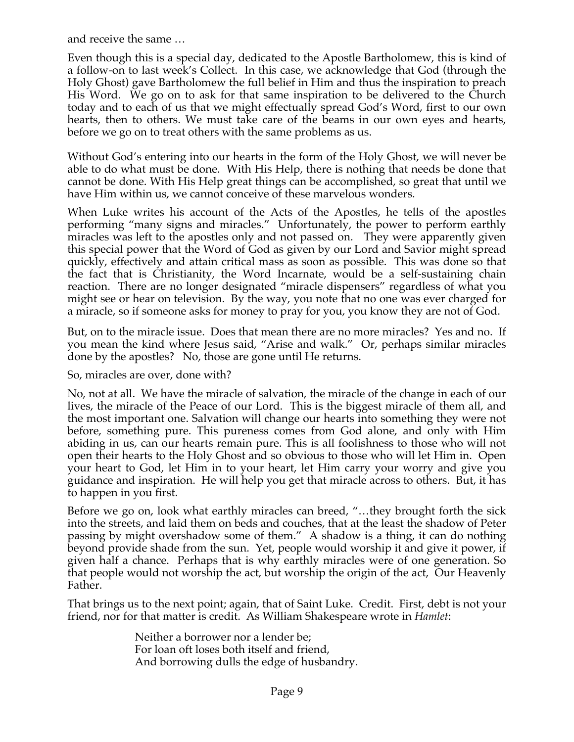and receive the same …

Even though this is a special day, dedicated to the Apostle Bartholomew, this is kind of a follow-on to last week's Collect. In this case, we acknowledge that God (through the Holy Ghost) gave Bartholomew the full belief in Him and thus the inspiration to preach His Word. We go on to ask for that same inspiration to be delivered to the Church today and to each of us that we might effectually spread God's Word, first to our own hearts, then to others. We must take care of the beams in our own eyes and hearts, before we go on to treat others with the same problems as us.

Without God's entering into our hearts in the form of the Holy Ghost, we will never be able to do what must be done. With His Help, there is nothing that needs be done that cannot be done. With His Help great things can be accomplished, so great that until we have Him within us, we cannot conceive of these marvelous wonders.

When Luke writes his account of the Acts of the Apostles, he tells of the apostles performing "many signs and miracles." Unfortunately, the power to perform earthly miracles was left to the apostles only and not passed on. They were apparently given this special power that the Word of God as given by our Lord and Savior might spread quickly, effectively and attain critical mass as soon as possible. This was done so that the fact that is Christianity, the Word Incarnate, would be a self-sustaining chain reaction. There are no longer designated "miracle dispensers" regardless of what you might see or hear on television. By the way, you note that no one was ever charged for a miracle, so if someone asks for money to pray for you, you know they are not of God.

But, on to the miracle issue. Does that mean there are no more miracles? Yes and no. If you mean the kind where Jesus said, "Arise and walk." Or, perhaps similar miracles done by the apostles? No, those are gone until He returns.

So, miracles are over, done with?

No, not at all. We have the miracle of salvation, the miracle of the change in each of our lives, the miracle of the Peace of our Lord. This is the biggest miracle of them all, and the most important one. Salvation will change our hearts into something they were not before, something pure. This pureness comes from God alone, and only with Him abiding in us, can our hearts remain pure. This is all foolishness to those who will not open their hearts to the Holy Ghost and so obvious to those who will let Him in. Open your heart to God, let Him in to your heart, let Him carry your worry and give you guidance and inspiration. He will help you get that miracle across to others. But, it has to happen in you first.

Before we go on, look what earthly miracles can breed, "…they brought forth the sick into the streets, and laid them on beds and couches, that at the least the shadow of Peter passing by might overshadow some of them." A shadow is a thing, it can do nothing beyond provide shade from the sun. Yet, people would worship it and give it power, if given half a chance. Perhaps that is why earthly miracles were of one generation. So that people would not worship the act, but worship the origin of the act, Our Heavenly Father.

That brings us to the next point; again, that of Saint Luke. Credit. First, debt is not your friend, nor for that matter is credit. As William Shakespeare wrote in *Hamlet*:

> Neither a borrower nor a lender be; For loan oft loses both itself and friend, And borrowing dulls the edge of husbandry.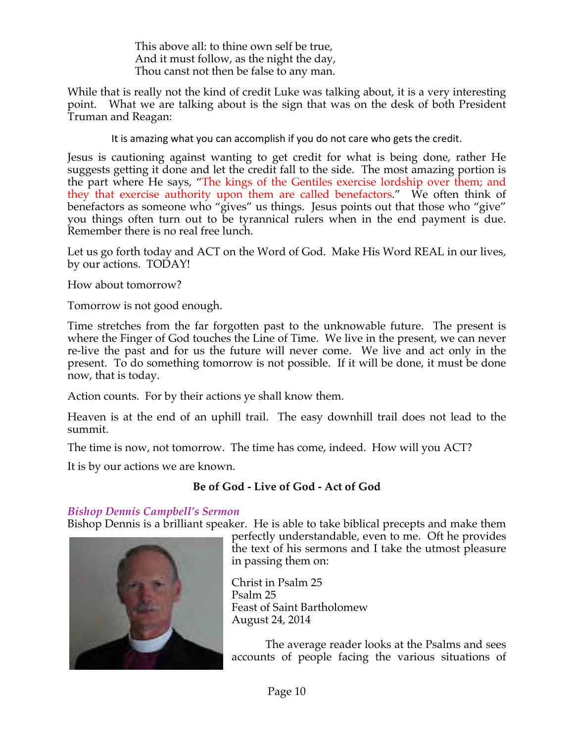This above all: to thine own self be true, And it must follow, as the night the day, Thou canst not then be false to any man.

While that is really not the kind of credit Luke was talking about, it is a very interesting point. What we are talking about is the sign that was on the desk of both President Truman and Reagan:

It is amazing what you can accomplish if you do not care who gets the credit.

Jesus is cautioning against wanting to get credit for what is being done, rather He suggests getting it done and let the credit fall to the side. The most amazing portion is the part where He says, "The kings of the Gentiles exercise lordship over them; and they that exercise authority upon them are called benefactors." We often think of benefactors as someone who "gives" us things. Jesus points out that those who "give" you things often turn out to be tyrannical rulers when in the end payment is due. Remember there is no real free lunch.

Let us go forth today and ACT on the Word of God. Make His Word REAL in our lives, by our actions. TODAY!

How about tomorrow?

Tomorrow is not good enough.

Time stretches from the far forgotten past to the unknowable future. The present is where the Finger of God touches the Line of Time. We live in the present, we can never re-live the past and for us the future will never come. We live and act only in the present. To do something tomorrow is not possible. If it will be done, it must be done now, that is today.

Action counts. For by their actions ye shall know them.

Heaven is at the end of an uphill trail. The easy downhill trail does not lead to the summit.

The time is now, not tomorrow. The time has come, indeed. How will you ACT?

It is by our actions we are known.

## **Be of God - Live of God - Act of God**

## *Bishop Dennis Campbell's Sermon*

Bishop Dennis is a brilliant speaker. He is able to take biblical precepts and make them



perfectly understandable, even to me. Oft he provides the text of his sermons and I take the utmost pleasure in passing them on:

Christ in Psalm 25 Psalm 25 Feast of Saint Bartholomew August 24, 2014

 The average reader looks at the Psalms and sees accounts of people facing the various situations of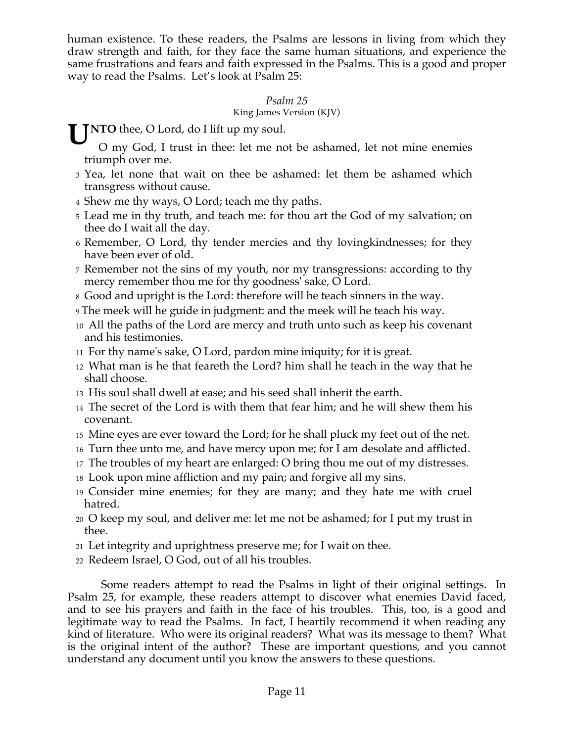human existence. To these readers, the Psalms are lessons in living from which they draw strength and faith, for they face the same human situations, and experience the same frustrations and fears and faith expressed in the Psalms. This is a good and proper way to read the Psalms. Let's look at Psalm 25:

### *Psalm 25*

### King James Version (KJV)

**UNTO** thee, O Lord, do I lift up my soul.<br>O my God, I trust in thee: let me no

O my God, I trust in thee: let me not be ashamed, let not mine enemies triumph over me.

- 3 Yea, let none that wait on thee be ashamed: let them be ashamed which transgress without cause.
- 4 Shew me thy ways, O Lord; teach me thy paths.
- 5 Lead me in thy truth, and teach me: for thou art the God of my salvation; on thee do I wait all the day.
- 6 Remember, O Lord, thy tender mercies and thy lovingkindnesses; for they have been ever of old.
- 7 Remember not the sins of my youth, nor my transgressions: according to thy mercy remember thou me for thy goodness' sake, O Lord.
- 8 Good and upright is the Lord: therefore will he teach sinners in the way.
- 9 The meek will he guide in judgment: and the meek will he teach his way.
- 10 All the paths of the Lord are mercy and truth unto such as keep his covenant and his testimonies.
- 11 For thy name's sake, O Lord, pardon mine iniquity; for it is great.
- 12 What man is he that feareth the Lord? him shall he teach in the way that he shall choose.
- 13 His soul shall dwell at ease; and his seed shall inherit the earth.
- 14 The secret of the Lord is with them that fear him; and he will shew them his covenant.
- 15 Mine eyes are ever toward the Lord; for he shall pluck my feet out of the net.
- 16 Turn thee unto me, and have mercy upon me; for I am desolate and afflicted.
- <sup>17</sup> The troubles of my heart are enlarged: O bring thou me out of my distresses.
- 18 Look upon mine affliction and my pain; and forgive all my sins.
- 19 Consider mine enemies; for they are many; and they hate me with cruel hatred.
- 20 O keep my soul, and deliver me: let me not be ashamed; for I put my trust in thee.
- 21 Let integrity and uprightness preserve me; for I wait on thee.
- 22 Redeem Israel, O God, out of all his troubles.

 Some readers attempt to read the Psalms in light of their original settings. In Psalm 25, for example, these readers attempt to discover what enemies David faced, and to see his prayers and faith in the face of his troubles. This, too, is a good and legitimate way to read the Psalms. In fact, I heartily recommend it when reading any kind of literature. Who were its original readers? What was its message to them? What is the original intent of the author? These are important questions, and you cannot understand any document until you know the answers to these questions.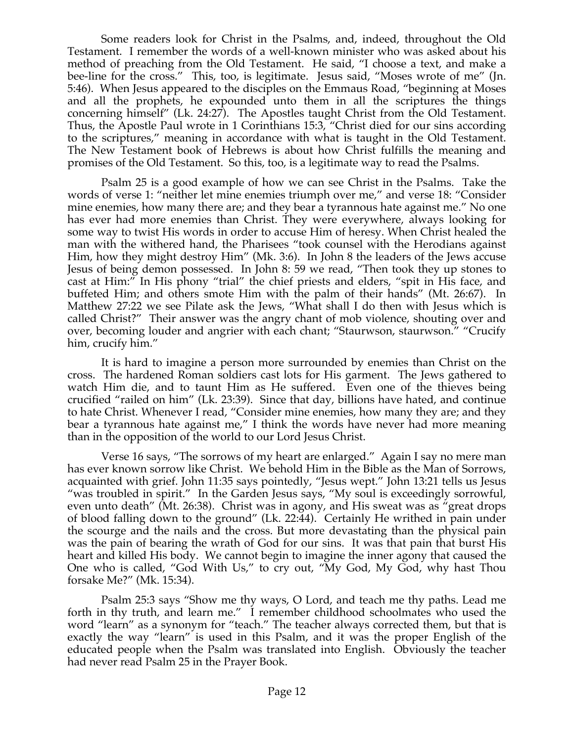Some readers look for Christ in the Psalms, and, indeed, throughout the Old Testament. I remember the words of a well-known minister who was asked about his method of preaching from the Old Testament. He said, "I choose a text, and make a bee-line for the cross." This, too, is legitimate. Jesus said, "Moses wrote of me" (Jn. 5:46). When Jesus appeared to the disciples on the Emmaus Road, "beginning at Moses and all the prophets, he expounded unto them in all the scriptures the things concerning himself" (Lk. 24:27). The Apostles taught Christ from the Old Testament. Thus, the Apostle Paul wrote in 1 Corinthians 15:3, "Christ died for our sins according to the scriptures," meaning in accordance with what is taught in the Old Testament. The New Testament book of Hebrews is about how Christ fulfills the meaning and promises of the Old Testament. So this, too, is a legitimate way to read the Psalms.

Psalm 25 is a good example of how we can see Christ in the Psalms. Take the words of verse 1: "neither let mine enemies triumph over me," and verse 18: "Consider mine enemies, how many there are; and they bear a tyrannous hate against me." No one has ever had more enemies than Christ. They were everywhere, always looking for some way to twist His words in order to accuse Him of heresy. When Christ healed the man with the withered hand, the Pharisees "took counsel with the Herodians against Him, how they might destroy Him" (Mk. 3:6). In John 8 the leaders of the Jews accuse Jesus of being demon possessed. In John 8: 59 we read, "Then took they up stones to cast at Him:" In His phony "trial" the chief priests and elders, "spit in His face, and buffeted Him; and others smote Him with the palm of their hands" (Mt. 26:67). In Matthew 27:22 we see Pilate ask the Jews, "What shall I do then with Jesus which is called Christ?" Their answer was the angry chant of mob violence, shouting over and over, becoming louder and angrier with each chant; "Staurwson, staurwson." "Crucify him, crucify him."

It is hard to imagine a person more surrounded by enemies than Christ on the cross. The hardened Roman soldiers cast lots for His garment. The Jews gathered to watch Him die, and to taunt Him as He suffered. Even one of the thieves being crucified "railed on him" (Lk. 23:39). Since that day, billions have hated, and continue to hate Christ. Whenever I read, "Consider mine enemies, how many they are; and they bear a tyrannous hate against me," I think the words have never had more meaning than in the opposition of the world to our Lord Jesus Christ.

Verse 16 says, "The sorrows of my heart are enlarged." Again I say no mere man has ever known sorrow like Christ. We behold Him in the Bible as the Man of Sorrows, acquainted with grief. John 11:35 says pointedly, "Jesus wept." John 13:21 tells us Jesus "was troubled in spirit." In the Garden Jesus says, "My soul is exceedingly sorrowful, even unto death" (Mt. 26:38). Christ was in agony, and His sweat was as "great drops of blood falling down to the ground" (Lk. 22:44). Certainly He writhed in pain under the scourge and the nails and the cross. But more devastating than the physical pain was the pain of bearing the wrath of God for our sins. It was that pain that burst His heart and killed His body. We cannot begin to imagine the inner agony that caused the One who is called, "God With Us," to cry out, "My God, My God, why hast Thou forsake Me?" (Mk. 15:34).

Psalm 25:3 says "Show me thy ways, O Lord, and teach me thy paths. Lead me forth in thy truth, and learn me." I remember childhood schoolmates who used the word "learn" as a synonym for "teach." The teacher always corrected them, but that is exactly the way "learn" is used in this Psalm, and it was the proper English of the educated people when the Psalm was translated into English. Obviously the teacher had never read Psalm 25 in the Prayer Book.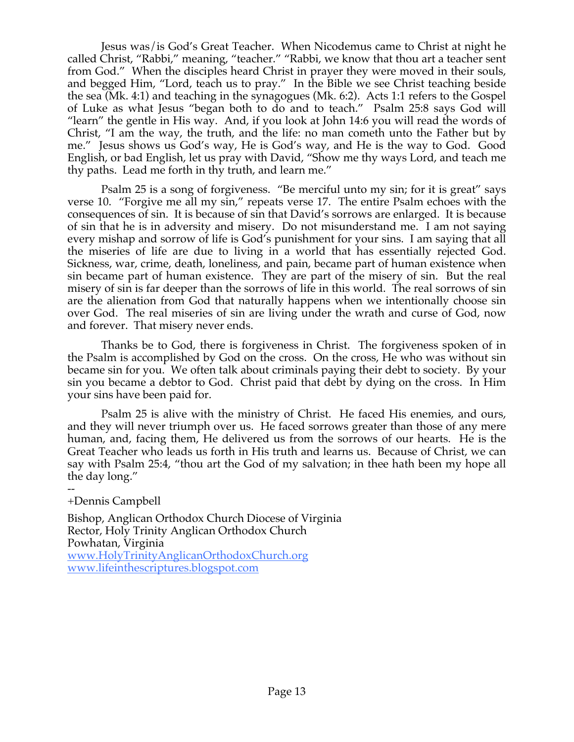Jesus was/is God's Great Teacher. When Nicodemus came to Christ at night he called Christ, "Rabbi," meaning, "teacher." "Rabbi, we know that thou art a teacher sent from God." When the disciples heard Christ in prayer they were moved in their souls, and begged Him, "Lord, teach us to pray." In the Bible we see Christ teaching beside the sea (Mk. 4:1) and teaching in the synagogues (Mk. 6:2). Acts 1:1 refers to the Gospel of Luke as what Jesus "began both to do and to teach." Psalm 25:8 says God will "learn" the gentle in His way. And, if you look at John 14:6 you will read the words of Christ, "I am the way, the truth, and the life: no man cometh unto the Father but by me." Jesus shows us God's way, He is God's way, and He is the way to God. Good English, or bad English, let us pray with David, "Show me thy ways Lord, and teach me thy paths. Lead me forth in thy truth, and learn me."

Psalm 25 is a song of forgiveness. "Be merciful unto my sin; for it is great" says verse 10. "Forgive me all my sin," repeats verse 17. The entire Psalm echoes with the consequences of sin. It is because of sin that David's sorrows are enlarged. It is because of sin that he is in adversity and misery. Do not misunderstand me. I am not saying every mishap and sorrow of life is God's punishment for your sins. I am saying that all the miseries of life are due to living in a world that has essentially rejected God. Sickness, war, crime, death, loneliness, and pain, became part of human existence when sin became part of human existence. They are part of the misery of sin. But the real misery of sin is far deeper than the sorrows of life in this world. The real sorrows of sin are the alienation from God that naturally happens when we intentionally choose sin over God. The real miseries of sin are living under the wrath and curse of God, now and forever. That misery never ends.

Thanks be to God, there is forgiveness in Christ. The forgiveness spoken of in the Psalm is accomplished by God on the cross. On the cross, He who was without sin became sin for you. We often talk about criminals paying their debt to society. By your sin you became a debtor to God. Christ paid that debt by dying on the cross. In Him your sins have been paid for.

Psalm 25 is alive with the ministry of Christ. He faced His enemies, and ours, and they will never triumph over us. He faced sorrows greater than those of any mere human, and, facing them, He delivered us from the sorrows of our hearts. He is the Great Teacher who leads us forth in His truth and learns us. Because of Christ, we can say with Psalm 25:4, "thou art the God of my salvation; in thee hath been my hope all the day long."

#### -- +Dennis Campbell

Bishop, Anglican Orthodox Church Diocese of Virginia Rector, Holy Trinity Anglican Orthodox Church Powhatan, Virginia www.HolyTrinityAnglicanOrthodoxChurch.org www.lifeinthescriptures.blogspot.com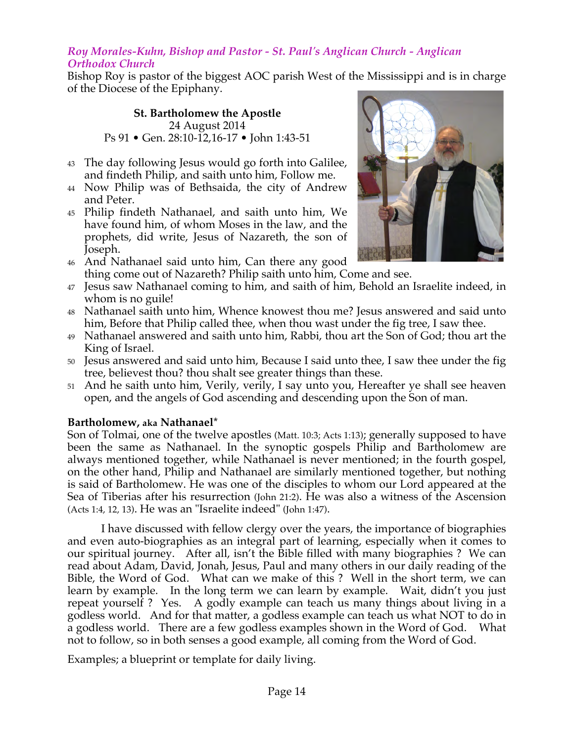### *Roy Morales-Kuhn, Bishop and Pastor - St. Paul's Anglican Church - Anglican Orthodox Church*

Bishop Roy is pastor of the biggest AOC parish West of the Mississippi and is in charge of the Diocese of the Epiphany.

#### **St. Bartholomew the Apostle** 24 August 2014 Ps 91 • Gen. 28:10-12,16-17 • John 1:43-51

- 43 The day following Jesus would go forth into Galilee, and findeth Philip, and saith unto him, Follow me.
- 44 Now Philip was of Bethsaida, the city of Andrew and Peter.
- 45 Philip findeth Nathanael, and saith unto him, We have found him, of whom Moses in the law, and the prophets, did write, Jesus of Nazareth, the son of Joseph.
- 46 And Nathanael said unto him, Can there any good thing come out of Nazareth? Philip saith unto him, Come and see.
- 47 Jesus saw Nathanael coming to him, and saith of him, Behold an Israelite indeed, in whom is no guile!
- 48 Nathanael saith unto him, Whence knowest thou me? Jesus answered and said unto him, Before that Philip called thee, when thou wast under the fig tree, I saw thee.
- 49 Nathanael answered and saith unto him, Rabbi, thou art the Son of God; thou art the King of Israel.
- 50 Jesus answered and said unto him, Because I said unto thee, I saw thee under the fig tree, believest thou? thou shalt see greater things than these.
- 51 And he saith unto him, Verily, verily, I say unto you, Hereafter ye shall see heaven open, and the angels of God ascending and descending upon the Son of man.

## **Bartholomew, aka Nathanael\***

Son of Tolmai, one of the twelve apostles (Matt. 10:3; Acts 1:13); generally supposed to have been the same as Nathanael. In the synoptic gospels Philip and Bartholomew are always mentioned together, while Nathanael is never mentioned; in the fourth gospel, on the other hand, Philip and Nathanael are similarly mentioned together, but nothing is said of Bartholomew. He was one of the disciples to whom our Lord appeared at the Sea of Tiberias after his resurrection (John 21:2). He was also a witness of the Ascension (Acts 1:4, 12, 13). He was an "Israelite indeed" (John 1:47).

I have discussed with fellow clergy over the years, the importance of biographies and even auto-biographies as an integral part of learning, especially when it comes to our spiritual journey. After all, isn't the Bible filled with many biographies ? We can read about Adam, David, Jonah, Jesus, Paul and many others in our daily reading of the Bible, the Word of God. What can we make of this ? Well in the short term, we can learn by example. In the long term we can learn by example. Wait, didn't you just repeat yourself ? Yes. A godly example can teach us many things about living in a godless world. And for that matter, a godless example can teach us what NOT to do in a godless world. There are a few godless examples shown in the Word of God. What not to follow, so in both senses a good example, all coming from the Word of God.

Examples; a blueprint or template for daily living.

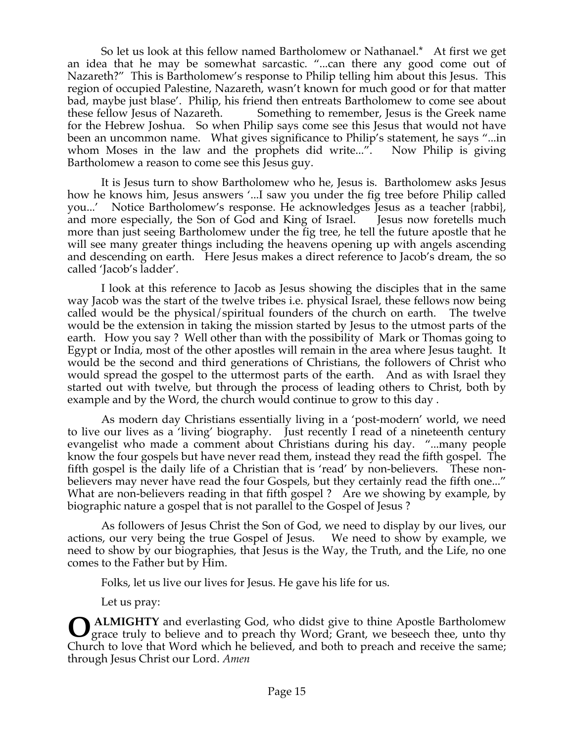So let us look at this fellow named Bartholomew or Nathanael.\* At first we get an idea that he may be somewhat sarcastic. "...can there any good come out of Nazareth?" This is Bartholomew's response to Philip telling him about this Jesus. This region of occupied Palestine, Nazareth, wasn't known for much good or for that matter bad, maybe just blase'. Philip, his friend then entreats Bartholomew to come see about these fellow Jesus of Nazareth. Something to remember, Jesus is the Greek name for the Hebrew Joshua. So when Philip says come see this Jesus that would not have been an uncommon name. What gives significance to Philip's statement, he says "...in whom Moses in the law and the prophets did write...". Now Philip is giving Bartholomew a reason to come see this Jesus guy.

 It is Jesus turn to show Bartholomew who he, Jesus is. Bartholomew asks Jesus how he knows him, Jesus answers '...I saw you under the fig tree before Philip called you...' Notice Bartholomew's response. He acknowledges Jesus as a teacher {rabbi}, and more especially, the Son of God and King of Israel. Jesus now foretells much more than just seeing Bartholomew under the fig tree, he tell the future apostle that he will see many greater things including the heavens opening up with angels ascending and descending on earth. Here Jesus makes a direct reference to Jacob's dream, the so called 'Jacob's ladder'.

I look at this reference to Jacob as Jesus showing the disciples that in the same way Jacob was the start of the twelve tribes i.e. physical Israel, these fellows now being called would be the physical/spiritual founders of the church on earth. The twelve would be the extension in taking the mission started by Jesus to the utmost parts of the earth. How you say ? Well other than with the possibility of Mark or Thomas going to Egypt or India, most of the other apostles will remain in the area where Jesus taught. It would be the second and third generations of Christians, the followers of Christ who would spread the gospel to the uttermost parts of the earth. And as with Israel they started out with twelve, but through the process of leading others to Christ, both by example and by the Word, the church would continue to grow to this day .

As modern day Christians essentially living in a 'post-modern' world, we need to live our lives as a 'living' biography. Just recently I read of a nineteenth century evangelist who made a comment about Christians during his day. "...many people know the four gospels but have never read them, instead they read the fifth gospel. The fifth gospel is the daily life of a Christian that is 'read' by non-believers. These nonbelievers may never have read the four Gospels, but they certainly read the fifth one..." What are non-believers reading in that fifth gospel ? Are we showing by example, by biographic nature a gospel that is not parallel to the Gospel of Jesus ?

As followers of Jesus Christ the Son of God, we need to display by our lives, our actions, our very being the true Gospel of Jesus. We need to show by example, we need to show by our biographies, that Jesus is the Way, the Truth, and the Life, no one comes to the Father but by Him.

Folks, let us live our lives for Jesus. He gave his life for us.

Let us pray:

 **ALMIGHTY** and everlasting God, who didst give to thine Apostle Bartholomew grace truly to believe and to preach thy Word; Grant, we beseech thee, unto thy Church to love that Word which he believed, and both to preach and receive the same; through Jesus Christ our Lord. *Amen* **O**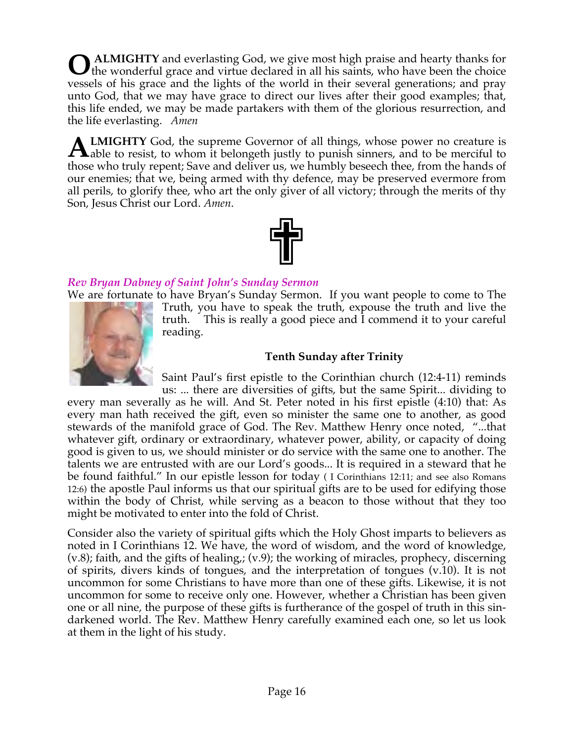**ALMIGHTY** and everlasting God, we give most high praise and hearty thanks for **O** ALMIGHTY and everlasting God, we give most high praise and hearty thanks for the wonderful grace and virtue declared in all his saints, who have been the choice vessels of his grace and the lights of the world in their several generations; and pray unto God, that we may have grace to direct our lives after their good examples; that, this life ended, we may be made partakers with them of the glorious resurrection, and the life everlasting. *Amen*

**LMIGHTY** God, the supreme Governor of all things, whose power no creature is **ALMIGHTY** God, the supreme Governor of all things, whose power no creature is able to resist, to whom it belongeth justly to punish sinners, and to be merciful to the detection of the state of the state of the state of th those who truly repent; Save and deliver us, we humbly beseech thee, from the hands of our enemies; that we, being armed with thy defence, may be preserved evermore from all perils, to glorify thee, who art the only giver of all victory; through the merits of thy Son, Jesus Christ our Lord. *Amen*.



## *Rev Bryan Dabney of Saint John's Sunday Sermon*

reading.

We are fortunate to have Bryan's Sunday Sermon. If you want people to come to The Truth, you have to speak the truth, expouse the truth and live the truth. This is really a good piece and I commend it to your careful

# **Tenth Sunday after Trinity**

Saint Paul's first epistle to the Corinthian church (12:4-11) reminds us: ... there are diversities of gifts, but the same Spirit... dividing to

every man severally as he will. And St. Peter noted in his first epistle (4:10) that: As every man hath received the gift, even so minister the same one to another, as good stewards of the manifold grace of God. The Rev. Matthew Henry once noted, "...that whatever gift, ordinary or extraordinary, whatever power, ability, or capacity of doing good is given to us, we should minister or do service with the same one to another. The talents we are entrusted with are our Lord's goods... It is required in a steward that he be found faithful." In our epistle lesson for today ( I Corinthians 12:11; and see also Romans 12:6) the apostle Paul informs us that our spiritual gifts are to be used for edifying those within the body of Christ, while serving as a beacon to those without that they too might be motivated to enter into the fold of Christ.

Consider also the variety of spiritual gifts which the Holy Ghost imparts to believers as noted in I Corinthians 12. We have, the word of wisdom, and the word of knowledge, (v.8); faith, and the gifts of healing,; (v.9); the working of miracles, prophecy, discerning of spirits, divers kinds of tongues, and the interpretation of tongues (v.10). It is not uncommon for some Christians to have more than one of these gifts. Likewise, it is not uncommon for some to receive only one. However, whether a Christian has been given one or all nine, the purpose of these gifts is furtherance of the gospel of truth in this sindarkened world. The Rev. Matthew Henry carefully examined each one, so let us look at them in the light of his study.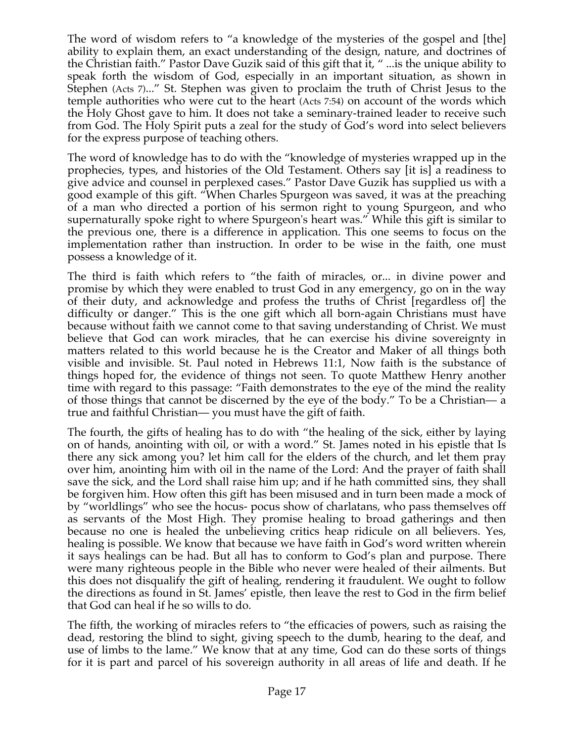The word of wisdom refers to "a knowledge of the mysteries of the gospel and [the] ability to explain them, an exact understanding of the design, nature, and doctrines of the Christian faith." Pastor Dave Guzik said of this gift that it, " ...is the unique ability to speak forth the wisdom of God, especially in an important situation, as shown in Stephen (Acts 7)..." St. Stephen was given to proclaim the truth of Christ Jesus to the temple authorities who were cut to the heart (Acts 7:54) on account of the words which the Holy Ghost gave to him. It does not take a seminary-trained leader to receive such from God. The Holy Spirit puts a zeal for the study of God's word into select believers for the express purpose of teaching others.

The word of knowledge has to do with the "knowledge of mysteries wrapped up in the prophecies, types, and histories of the Old Testament. Others say [it is] a readiness to give advice and counsel in perplexed cases." Pastor Dave Guzik has supplied us with a good example of this gift. "When Charles Spurgeon was saved, it was at the preaching of a man who directed a portion of his sermon right to young Spurgeon, and who supernaturally spoke right to where Spurgeon's heart was." While this gift is similar to the previous one, there is a difference in application. This one seems to focus on the implementation rather than instruction. In order to be wise in the faith, one must possess a knowledge of it.

The third is faith which refers to "the faith of miracles, or... in divine power and promise by which they were enabled to trust God in any emergency, go on in the way of their duty, and acknowledge and profess the truths of Christ [regardless of] the difficulty or danger." This is the one gift which all born-again Christians must have because without faith we cannot come to that saving understanding of Christ. We must believe that God can work miracles, that he can exercise his divine sovereignty in matters related to this world because he is the Creator and Maker of all things both visible and invisible. St. Paul noted in Hebrews 11:1, Now faith is the substance of things hoped for, the evidence of things not seen. To quote Matthew Henry another time with regard to this passage: "Faith demonstrates to the eye of the mind the reality of those things that cannot be discerned by the eye of the body." To be a Christian— a true and faithful Christian— you must have the gift of faith.

The fourth, the gifts of healing has to do with "the healing of the sick, either by laying on of hands, anointing with oil, or with a word." St. James noted in his epistle that Is there any sick among you? let him call for the elders of the church, and let them pray over him, anointing him with oil in the name of the Lord: And the prayer of faith shall save the sick, and the Lord shall raise him up; and if he hath committed sins, they shall be forgiven him. How often this gift has been misused and in turn been made a mock of by "worldlings" who see the hocus- pocus show of charlatans, who pass themselves off as servants of the Most High. They promise healing to broad gatherings and then because no one is healed the unbelieving critics heap ridicule on all believers. Yes, healing is possible. We know that because we have faith in God's word written wherein it says healings can be had. But all has to conform to God's plan and purpose. There were many righteous people in the Bible who never were healed of their ailments. But this does not disqualify the gift of healing, rendering it fraudulent. We ought to follow the directions as found in St. James' epistle, then leave the rest to God in the firm belief that God can heal if he so wills to do.

The fifth, the working of miracles refers to "the efficacies of powers, such as raising the dead, restoring the blind to sight, giving speech to the dumb, hearing to the deaf, and use of limbs to the lame." We know that at any time, God can do these sorts of things for it is part and parcel of his sovereign authority in all areas of life and death. If he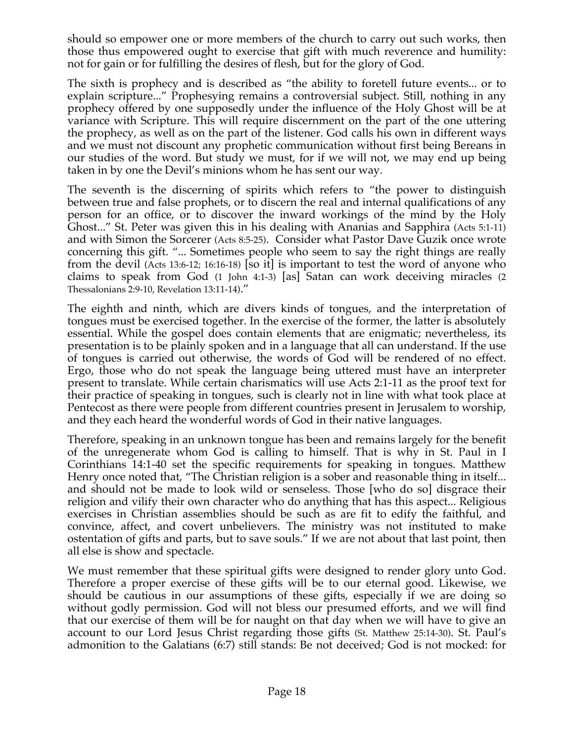should so empower one or more members of the church to carry out such works, then those thus empowered ought to exercise that gift with much reverence and humility: not for gain or for fulfilling the desires of flesh, but for the glory of God.

The sixth is prophecy and is described as "the ability to foretell future events... or to explain scripture..." Prophesying remains a controversial subject. Still, nothing in any prophecy offered by one supposedly under the influence of the Holy Ghost will be at variance with Scripture. This will require discernment on the part of the one uttering the prophecy, as well as on the part of the listener. God calls his own in different ways and we must not discount any prophetic communication without first being Bereans in our studies of the word. But study we must, for if we will not, we may end up being taken in by one the Devil's minions whom he has sent our way.

The seventh is the discerning of spirits which refers to "the power to distinguish between true and false prophets, or to discern the real and internal qualifications of any person for an office, or to discover the inward workings of the mind by the Holy Ghost..." St. Peter was given this in his dealing with Ananias and Sapphira (Acts 5:1-11) and with Simon the Sorcerer (Acts 8:5-25). Consider what Pastor Dave Guzik once wrote concerning this gift. "... Sometimes people who seem to say the right things are really from the devil (Acts 13:6-12; 16:16-18) [so it] is important to test the word of anyone who claims to speak from God (1 John 4:1-3) [as] Satan can work deceiving miracles (2 Thessalonians 2:9-10, Revelation 13:11-14)."

The eighth and ninth, which are divers kinds of tongues, and the interpretation of tongues must be exercised together. In the exercise of the former, the latter is absolutely essential. While the gospel does contain elements that are enigmatic; nevertheless, its presentation is to be plainly spoken and in a language that all can understand. If the use of tongues is carried out otherwise, the words of God will be rendered of no effect. Ergo, those who do not speak the language being uttered must have an interpreter present to translate. While certain charismatics will use Acts 2:1-11 as the proof text for their practice of speaking in tongues, such is clearly not in line with what took place at Pentecost as there were people from different countries present in Jerusalem to worship, and they each heard the wonderful words of God in their native languages.

Therefore, speaking in an unknown tongue has been and remains largely for the benefit of the unregenerate whom God is calling to himself. That is why in St. Paul in I Corinthians 14:1-40 set the specific requirements for speaking in tongues. Matthew Henry once noted that, "The Christian religion is a sober and reasonable thing in itself... and should not be made to look wild or senseless. Those [who do so] disgrace their religion and vilify their own character who do anything that has this aspect... Religious exercises in Christian assemblies should be such as are fit to edify the faithful, and convince, affect, and covert unbelievers. The ministry was not instituted to make ostentation of gifts and parts, but to save souls." If we are not about that last point, then all else is show and spectacle.

We must remember that these spiritual gifts were designed to render glory unto God. Therefore a proper exercise of these gifts will be to our eternal good. Likewise, we should be cautious in our assumptions of these gifts, especially if we are doing so without godly permission. God will not bless our presumed efforts, and we will find that our exercise of them will be for naught on that day when we will have to give an account to our Lord Jesus Christ regarding those gifts (St. Matthew 25:14-30). St. Paul's admonition to the Galatians (6:7) still stands: Be not deceived; God is not mocked: for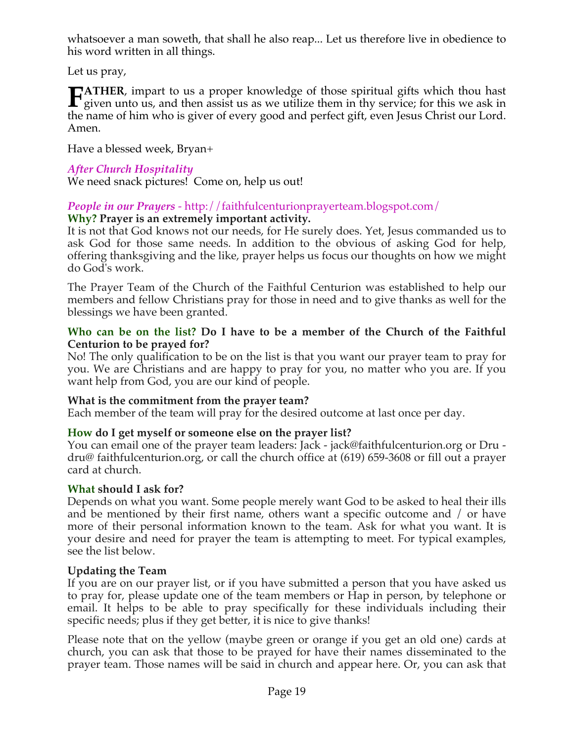whatsoever a man soweth, that shall he also reap... Let us therefore live in obedience to his word written in all things.

Let us pray,

**ATHER**, impart to us a proper knowledge of those spiritual gifts which thou hast **FATHER**, impart to us a proper knowledge of those spiritual gifts which thou hast given unto us, and then assist us as we utilize them in thy service; for this we ask in the name of him who is giver of every good and perfect gift, even Jesus Christ our Lord. Amen.

Have a blessed week, Bryan+

## *After Church Hospitality*

We need snack pictures! Come on, help us out!

# *People in our Prayers* - http://faithfulcenturionprayerteam.blogspot.com/

## **Why? Prayer is an extremely important activity.**

It is not that God knows not our needs, for He surely does. Yet, Jesus commanded us to ask God for those same needs. In addition to the obvious of asking God for help, offering thanksgiving and the like, prayer helps us focus our thoughts on how we might do God's work.

The Prayer Team of the Church of the Faithful Centurion was established to help our members and fellow Christians pray for those in need and to give thanks as well for the blessings we have been granted.

### **Who can be on the list? Do I have to be a member of the Church of the Faithful Centurion to be prayed for?**

No! The only qualification to be on the list is that you want our prayer team to pray for you. We are Christians and are happy to pray for you, no matter who you are. If you want help from God, you are our kind of people.

## **What is the commitment from the prayer team?**

Each member of the team will pray for the desired outcome at last once per day.

## **How do I get myself or someone else on the prayer list?**

You can email one of the prayer team leaders: Jack - jack@faithfulcenturion.org or Dru dru@ faithfulcenturion.org, or call the church office at (619) 659-3608 or fill out a prayer card at church.

## **What should I ask for?**

Depends on what you want. Some people merely want God to be asked to heal their ills and be mentioned by their first name, others want a specific outcome and / or have more of their personal information known to the team. Ask for what you want. It is your desire and need for prayer the team is attempting to meet. For typical examples, see the list below.

## **Updating the Team**

If you are on our prayer list, or if you have submitted a person that you have asked us to pray for, please update one of the team members or Hap in person, by telephone or email. It helps to be able to pray specifically for these individuals including their specific needs; plus if they get better, it is nice to give thanks!

Please note that on the yellow (maybe green or orange if you get an old one) cards at church, you can ask that those to be prayed for have their names disseminated to the prayer team. Those names will be said in church and appear here. Or, you can ask that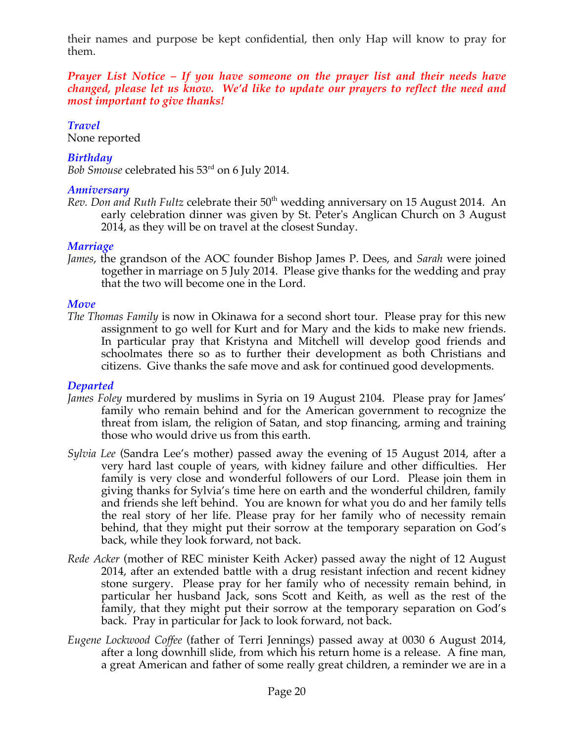their names and purpose be kept confidential, then only Hap will know to pray for them.

*Prayer List Notice – If you have someone on the prayer list and their needs have changed, please let us know. We'd like to update our prayers to reflect the need and most important to give thanks!*

## *Travel*

None reported

## *Birthday*

*Bob Smouse* celebrated his 53rd on 6 July 2014.

### *Anniversary*

*Rev. Don and Ruth Fultz celebrate their* 50<sup>th</sup> wedding anniversary on 15 August 2014. An early celebration dinner was given by St. Peter's Anglican Church on 3 August 2014, as they will be on travel at the closest Sunday.

## *Marriage*

*James*, the grandson of the AOC founder Bishop James P. Dees, and *Sarah* were joined together in marriage on 5 July 2014. Please give thanks for the wedding and pray that the two will become one in the Lord.

## *Move*

*The Thomas Family* is now in Okinawa for a second short tour. Please pray for this new assignment to go well for Kurt and for Mary and the kids to make new friends. In particular pray that Kristyna and Mitchell will develop good friends and schoolmates there so as to further their development as both Christians and citizens. Give thanks the safe move and ask for continued good developments.

## *Departed*

- *James Foley* murdered by muslims in Syria on 19 August 2104. Please pray for James' family who remain behind and for the American government to recognize the threat from islam, the religion of Satan, and stop financing, arming and training those who would drive us from this earth.
- *Sylvia Lee* (Sandra Lee's mother) passed away the evening of 15 August 2014, after a very hard last couple of years, with kidney failure and other difficulties. Her family is very close and wonderful followers of our Lord. Please join them in giving thanks for Sylvia's time here on earth and the wonderful children, family and friends she left behind. You are known for what you do and her family tells the real story of her life. Please pray for her family who of necessity remain behind, that they might put their sorrow at the temporary separation on God's back, while they look forward, not back.
- *Rede Acker* (mother of REC minister Keith Acker) passed away the night of 12 August 2014, after an extended battle with a drug resistant infection and recent kidney stone surgery. Please pray for her family who of necessity remain behind, in particular her husband Jack, sons Scott and Keith, as well as the rest of the family, that they might put their sorrow at the temporary separation on God's back. Pray in particular for Jack to look forward, not back.
- *Eugene Lockwood Coffee* (father of Terri Jennings) passed away at 0030 6 August 2014, after a long downhill slide, from which his return home is a release. A fine man, a great American and father of some really great children, a reminder we are in a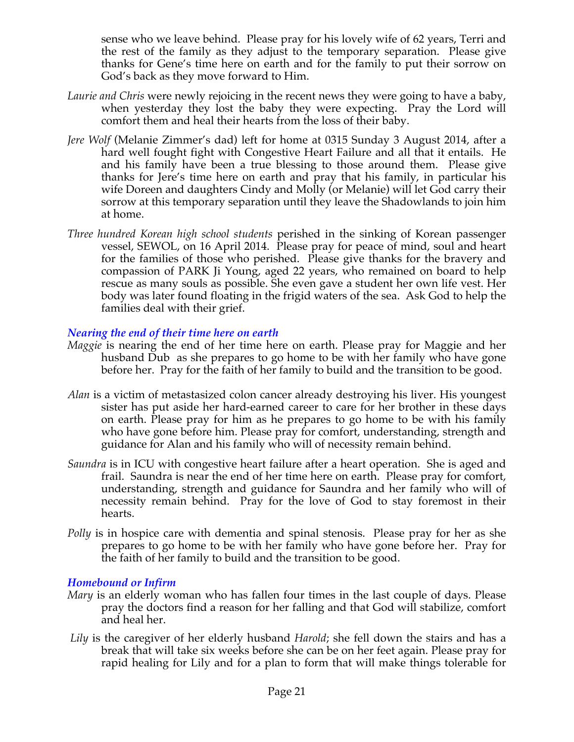sense who we leave behind. Please pray for his lovely wife of 62 years, Terri and the rest of the family as they adjust to the temporary separation. Please give thanks for Gene's time here on earth and for the family to put their sorrow on God's back as they move forward to Him.

- *Laurie and Chris* were newly rejoicing in the recent news they were going to have a baby, when yesterday they lost the baby they were expecting. Pray the Lord will comfort them and heal their hearts from the loss of their baby.
- *Jere Wolf* (Melanie Zimmer's dad) left for home at 0315 Sunday 3 August 2014, after a hard well fought fight with Congestive Heart Failure and all that it entails. He and his family have been a true blessing to those around them. Please give thanks for Jere's time here on earth and pray that his family, in particular his wife Doreen and daughters Cindy and Molly (or Melanie) will let God carry their sorrow at this temporary separation until they leave the Shadowlands to join him at home.
- *Three hundred Korean high school students* perished in the sinking of Korean passenger vessel, SEWOL, on 16 April 2014. Please pray for peace of mind, soul and heart for the families of those who perished. Please give thanks for the bravery and compassion of PARK Ji Young, aged 22 years, who remained on board to help rescue as many souls as possible. She even gave a student her own life vest. Her body was later found floating in the frigid waters of the sea. Ask God to help the families deal with their grief.

### *Nearing the end of their time here on earth*

- *Maggie* is nearing the end of her time here on earth. Please pray for Maggie and her husband Dub as she prepares to go home to be with her family who have gone before her. Pray for the faith of her family to build and the transition to be good.
- *Alan* is a victim of metastasized colon cancer already destroying his liver. His youngest sister has put aside her hard-earned career to care for her brother in these days on earth. Please pray for him as he prepares to go home to be with his family who have gone before him. Please pray for comfort, understanding, strength and guidance for Alan and his family who will of necessity remain behind.
- *Saundra* is in ICU with congestive heart failure after a heart operation. She is aged and frail. Saundra is near the end of her time here on earth. Please pray for comfort, understanding, strength and guidance for Saundra and her family who will of necessity remain behind. Pray for the love of God to stay foremost in their hearts.
- *Polly* is in hospice care with dementia and spinal stenosis. Please pray for her as she prepares to go home to be with her family who have gone before her. Pray for the faith of her family to build and the transition to be good.

### *Homebound or Infirm*

- *Mary* is an elderly woman who has fallen four times in the last couple of days. Please pray the doctors find a reason for her falling and that God will stabilize, comfort and heal her.
- *Lily* is the caregiver of her elderly husband *Harold*; she fell down the stairs and has a break that will take six weeks before she can be on her feet again. Please pray for rapid healing for Lily and for a plan to form that will make things tolerable for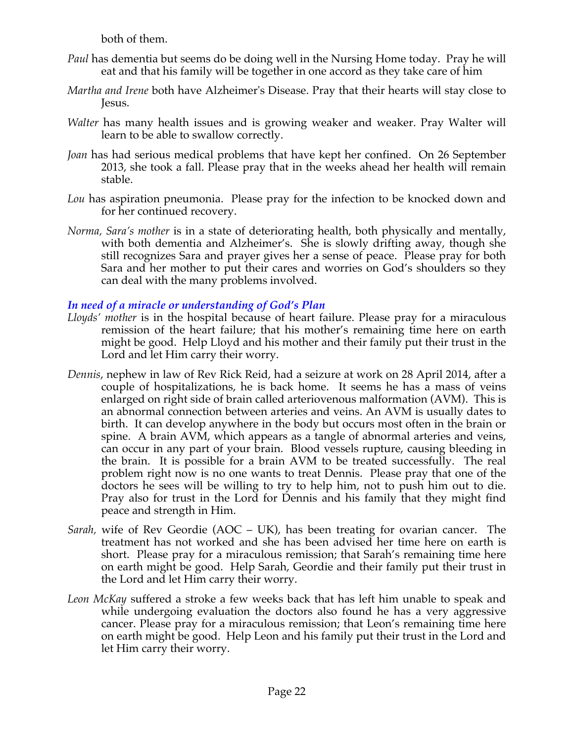both of them.

- *Paul* has dementia but seems do be doing well in the Nursing Home today. Pray he will eat and that his family will be together in one accord as they take care of him
- *Martha and Irene* both have Alzheimer's Disease. Pray that their hearts will stay close to Jesus.
- *Walter* has many health issues and is growing weaker and weaker. Pray Walter will learn to be able to swallow correctly.
- *Joan* has had serious medical problems that have kept her confined. On 26 September 2013, she took a fall. Please pray that in the weeks ahead her health will remain stable.
- *Lou* has aspiration pneumonia. Please pray for the infection to be knocked down and for her continued recovery.
- *Norma, Sara's mother* is in a state of deteriorating health, both physically and mentally, with both dementia and Alzheimer's. She is slowly drifting away, though she still recognizes Sara and prayer gives her a sense of peace. Please pray for both Sara and her mother to put their cares and worries on God's shoulders so they can deal with the many problems involved.

### *In need of a miracle or understanding of God's Plan*

- *Lloyds' mother* is in the hospital because of heart failure. Please pray for a miraculous remission of the heart failure; that his mother's remaining time here on earth might be good. Help Lloyd and his mother and their family put their trust in the Lord and let Him carry their worry.
- *Dennis*, nephew in law of Rev Rick Reid, had a seizure at work on 28 April 2014, after a couple of hospitalizations, he is back home. It seems he has a mass of veins enlarged on right side of brain called arteriovenous malformation (AVM). This is an abnormal connection between arteries and veins. An AVM is usually dates to birth. It can develop anywhere in the body but occurs most often in the brain or spine. A brain AVM, which appears as a tangle of abnormal arteries and veins, can occur in any part of your brain. Blood vessels rupture, causing bleeding in the brain. It is possible for a brain AVM to be treated successfully. The real problem right now is no one wants to treat Dennis. Please pray that one of the doctors he sees will be willing to try to help him, not to push him out to die. Pray also for trust in the Lord for Dennis and his family that they might find peace and strength in Him.
- *Sarah,* wife of Rev Geordie (AOC UK), has been treating for ovarian cancer. The treatment has not worked and she has been advised her time here on earth is short. Please pray for a miraculous remission; that Sarah's remaining time here on earth might be good. Help Sarah, Geordie and their family put their trust in the Lord and let Him carry their worry.
- *Leon McKay* suffered a stroke a few weeks back that has left him unable to speak and while undergoing evaluation the doctors also found he has a very aggressive cancer. Please pray for a miraculous remission; that Leon's remaining time here on earth might be good. Help Leon and his family put their trust in the Lord and let Him carry their worry.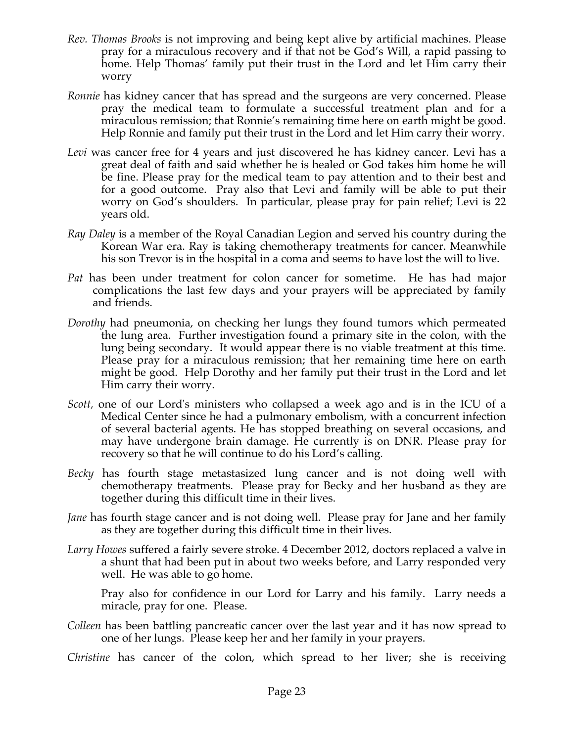- *Rev. Thomas Brooks* is not improving and being kept alive by artificial machines. Please pray for a miraculous recovery and if that not be God's Will, a rapid passing to home. Help Thomas' family put their trust in the Lord and let Him carry their worry
- *Ronnie* has kidney cancer that has spread and the surgeons are very concerned. Please pray the medical team to formulate a successful treatment plan and for a miraculous remission; that Ronnie's remaining time here on earth might be good. Help Ronnie and family put their trust in the Lord and let Him carry their worry.
- Levi was cancer free for 4 years and just discovered he has kidney cancer. Levi has a great deal of faith and said whether he is healed or God takes him home he will be fine. Please pray for the medical team to pay attention and to their best and for a good outcome. Pray also that Levi and family will be able to put their worry on God's shoulders. In particular, please pray for pain relief; Levi is 22 years old.
- *Ray Daley* is a member of the Royal Canadian Legion and served his country during the Korean War era. Ray is taking chemotherapy treatments for cancer. Meanwhile his son Trevor is in the hospital in a coma and seems to have lost the will to live.
- *Pat* has been under treatment for colon cancer for sometime. He has had major complications the last few days and your prayers will be appreciated by family and friends.
- *Dorothy* had pneumonia, on checking her lungs they found tumors which permeated the lung area. Further investigation found a primary site in the colon, with the lung being secondary. It would appear there is no viable treatment at this time. Please pray for a miraculous remission; that her remaining time here on earth might be good. Help Dorothy and her family put their trust in the Lord and let Him carry their worry.
- *Scott,* one of our Lord's ministers who collapsed a week ago and is in the ICU of a Medical Center since he had a pulmonary embolism, with a concurrent infection of several bacterial agents. He has stopped breathing on several occasions, and may have undergone brain damage. He currently is on DNR. Please pray for recovery so that he will continue to do his Lord's calling*.*
- *Becky* has fourth stage metastasized lung cancer and is not doing well with chemotherapy treatments. Please pray for Becky and her husband as they are together during this difficult time in their lives.
- *Jane* has fourth stage cancer and is not doing well. Please pray for Jane and her family as they are together during this difficult time in their lives.
- *Larry Howes* suffered a fairly severe stroke. 4 December 2012, doctors replaced a valve in a shunt that had been put in about two weeks before, and Larry responded very well. He was able to go home.

Pray also for confidence in our Lord for Larry and his family. Larry needs a miracle, pray for one. Please.

- *Colleen* has been battling pancreatic cancer over the last year and it has now spread to one of her lungs. Please keep her and her family in your prayers.
- *Christine* has cancer of the colon, which spread to her liver; she is receiving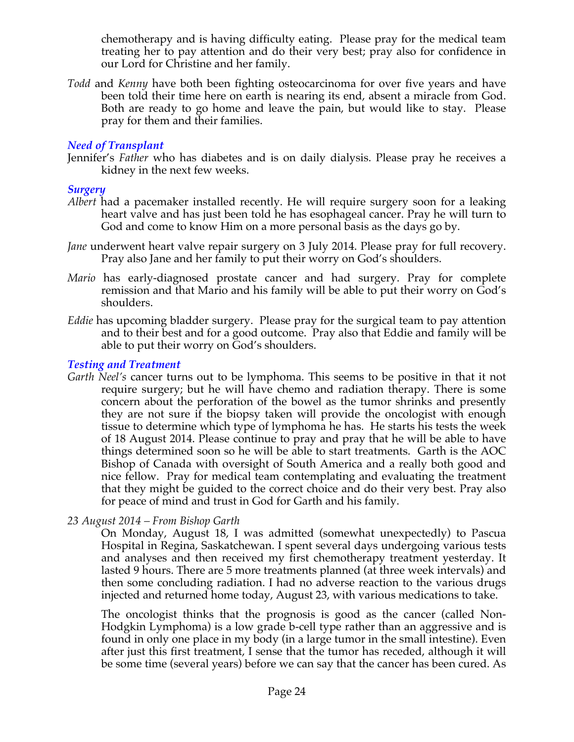chemotherapy and is having difficulty eating. Please pray for the medical team treating her to pay attention and do their very best; pray also for confidence in our Lord for Christine and her family.

*Todd* and *Kenny* have both been fighting osteocarcinoma for over five years and have been told their time here on earth is nearing its end, absent a miracle from God. Both are ready to go home and leave the pain, but would like to stay. Please pray for them and their families.

### *Need of Transplant*

Jennifer's *Father* who has diabetes and is on daily dialysis. Please pray he receives a kidney in the next few weeks.

#### *Surgery*

- *Albert* had a pacemaker installed recently. He will require surgery soon for a leaking heart valve and has just been told he has esophageal cancer. Pray he will turn to God and come to know Him on a more personal basis as the days go by.
- *Jane* underwent heart valve repair surgery on 3 July 2014. Please pray for full recovery. Pray also Jane and her family to put their worry on God's shoulders.
- *Mario* has early-diagnosed prostate cancer and had surgery. Pray for complete remission and that Mario and his family will be able to put their worry on God's shoulders.
- *Eddie* has upcoming bladder surgery. Please pray for the surgical team to pay attention and to their best and for a good outcome. Pray also that Eddie and family will be able to put their worry on God's shoulders.

#### *Testing and Treatment*

*Garth Neel's* cancer turns out to be lymphoma. This seems to be positive in that it not require surgery; but he will have chemo and radiation therapy. There is some concern about the perforation of the bowel as the tumor shrinks and presently they are not sure if the biopsy taken will provide the oncologist with enough tissue to determine which type of lymphoma he has. He starts his tests the week of 18 August 2014. Please continue to pray and pray that he will be able to have things determined soon so he will be able to start treatments. Garth is the AOC Bishop of Canada with oversight of South America and a really both good and nice fellow. Pray for medical team contemplating and evaluating the treatment that they might be guided to the correct choice and do their very best. Pray also for peace of mind and trust in God for Garth and his family.

*23 August 2014 – From Bishop Garth*

On Monday, August 18, I was admitted (somewhat unexpectedly) to Pascua Hospital in Regina, Saskatchewan. I spent several days undergoing various tests and analyses and then received my first chemotherapy treatment yesterday. It lasted 9 hours. There are 5 more treatments planned (at three week intervals) and then some concluding radiation. I had no adverse reaction to the various drugs injected and returned home today, August 23, with various medications to take.

The oncologist thinks that the prognosis is good as the cancer (called Non-Hodgkin Lymphoma) is a low grade b-cell type rather than an aggressive and is found in only one place in my body (in a large tumor in the small intestine). Even after just this first treatment, I sense that the tumor has receded, although it will be some time (several years) before we can say that the cancer has been cured. As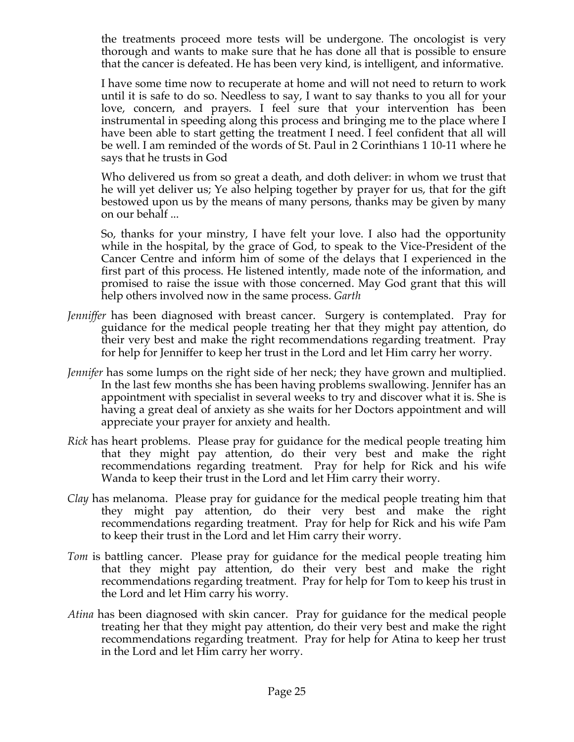the treatments proceed more tests will be undergone. The oncologist is very thorough and wants to make sure that he has done all that is possible to ensure that the cancer is defeated. He has been very kind, is intelligent, and informative.

I have some time now to recuperate at home and will not need to return to work until it is safe to do so. Needless to say, I want to say thanks to you all for your love, concern, and prayers. I feel sure that your intervention has been instrumental in speeding along this process and bringing me to the place where I have been able to start getting the treatment I need. I feel confident that all will be well. I am reminded of the words of St. Paul in 2 Corinthians 1 10-11 where he says that he trusts in God

Who delivered us from so great a death, and doth deliver: in whom we trust that he will yet deliver us; Ye also helping together by prayer for us, that for the gift bestowed upon us by the means of many persons, thanks may be given by many on our behalf ...

So, thanks for your minstry, I have felt your love. I also had the opportunity while in the hospital, by the grace of God, to speak to the Vice-President of the Cancer Centre and inform him of some of the delays that I experienced in the first part of this process. He listened intently, made note of the information, and promised to raise the issue with those concerned. May God grant that this will help others involved now in the same process. *Garth*

- *Jenniffer* has been diagnosed with breast cancer. Surgery is contemplated. Pray for guidance for the medical people treating her that they might pay attention, do their very best and make the right recommendations regarding treatment. Pray for help for Jenniffer to keep her trust in the Lord and let Him carry her worry.
- *Jennifer* has some lumps on the right side of her neck; they have grown and multiplied. In the last few months she has been having problems swallowing. Jennifer has an appointment with specialist in several weeks to try and discover what it is. She is having a great deal of anxiety as she waits for her Doctors appointment and will appreciate your prayer for anxiety and health.
- *Rick* has heart problems. Please pray for guidance for the medical people treating him that they might pay attention, do their very best and make the right recommendations regarding treatment. Pray for help for Rick and his wife Wanda to keep their trust in the Lord and let Him carry their worry.
- *Clay* has melanoma. Please pray for guidance for the medical people treating him that they might pay attention, do their very best and make the right recommendations regarding treatment. Pray for help for Rick and his wife Pam to keep their trust in the Lord and let Him carry their worry.
- *Tom* is battling cancer. Please pray for guidance for the medical people treating him that they might pay attention, do their very best and make the right recommendations regarding treatment. Pray for help for Tom to keep his trust in the Lord and let Him carry his worry.
- *Atina* has been diagnosed with skin cancer. Pray for guidance for the medical people treating her that they might pay attention, do their very best and make the right recommendations regarding treatment. Pray for help for Atina to keep her trust in the Lord and let Him carry her worry.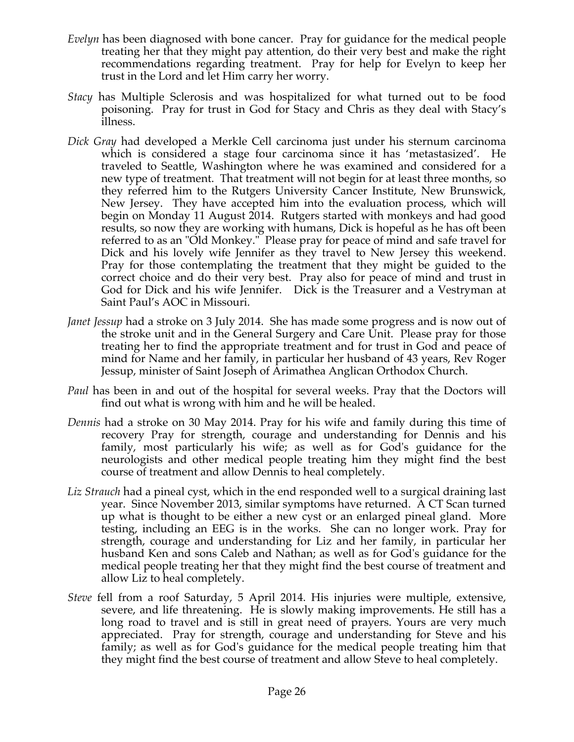- *Evelyn* has been diagnosed with bone cancer. Pray for guidance for the medical people treating her that they might pay attention, do their very best and make the right recommendations regarding treatment. Pray for help for Evelyn to keep her trust in the Lord and let Him carry her worry.
- *Stacy* has Multiple Sclerosis and was hospitalized for what turned out to be food poisoning. Pray for trust in God for Stacy and Chris as they deal with Stacy's illness.
- *Dick Gray* had developed a Merkle Cell carcinoma just under his sternum carcinoma which is considered a stage four carcinoma since it has 'metastasized'. He traveled to Seattle, Washington where he was examined and considered for a new type of treatment. That treatment will not begin for at least three months, so they referred him to the Rutgers University Cancer Institute, New Brunswick, New Jersey. They have accepted him into the evaluation process, which will begin on Monday 11 August 2014. Rutgers started with monkeys and had good results, so now they are working with humans, Dick is hopeful as he has oft been referred to as an "Old Monkey." Please pray for peace of mind and safe travel for Dick and his lovely wife Jennifer as they travel to New Jersey this weekend. Pray for those contemplating the treatment that they might be guided to the correct choice and do their very best. Pray also for peace of mind and trust in God for Dick and his wife Jennifer. Dick is the Treasurer and a Vestryman at Saint Paul's AOC in Missouri.
- *Janet Jessup* had a stroke on 3 July 2014. She has made some progress and is now out of the stroke unit and in the General Surgery and Care Unit. Please pray for those treating her to find the appropriate treatment and for trust in God and peace of mind for Name and her family, in particular her husband of 43 years, Rev Roger Jessup, minister of Saint Joseph of Arimathea Anglican Orthodox Church.
- *Paul* has been in and out of the hospital for several weeks. Pray that the Doctors will find out what is wrong with him and he will be healed.
- *Dennis* had a stroke on 30 May 2014. Pray for his wife and family during this time of recovery Pray for strength, courage and understanding for Dennis and his family, most particularly his wife; as well as for God's guidance for the neurologists and other medical people treating him they might find the best course of treatment and allow Dennis to heal completely.
- *Liz Strauch* had a pineal cyst, which in the end responded well to a surgical draining last year. Since November 2013, similar symptoms have returned. A CT Scan turned up what is thought to be either a new cyst or an enlarged pineal gland. More testing, including an EEG is in the works. She can no longer work. Pray for strength, courage and understanding for Liz and her family, in particular her husband Ken and sons Caleb and Nathan; as well as for God's guidance for the medical people treating her that they might find the best course of treatment and allow Liz to heal completely.
- *Steve* fell from a roof Saturday, 5 April 2014. His injuries were multiple, extensive, severe, and life threatening. He is slowly making improvements. He still has a long road to travel and is still in great need of prayers. Yours are very much appreciated. Pray for strength, courage and understanding for Steve and his family; as well as for God's guidance for the medical people treating him that they might find the best course of treatment and allow Steve to heal completely.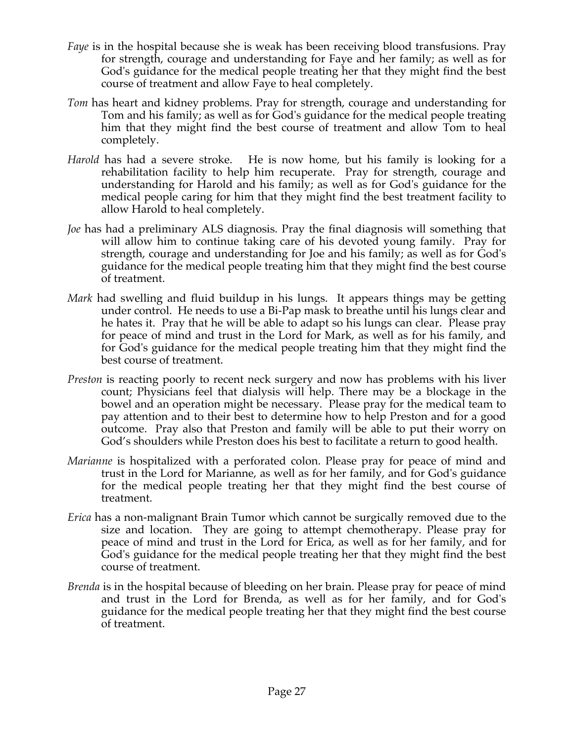- *Faye* is in the hospital because she is weak has been receiving blood transfusions. Pray for strength, courage and understanding for Faye and her family; as well as for God's guidance for the medical people treating her that they might find the best course of treatment and allow Faye to heal completely.
- *Tom* has heart and kidney problems. Pray for strength, courage and understanding for Tom and his family; as well as for God's guidance for the medical people treating him that they might find the best course of treatment and allow Tom to heal completely.
- *Harold* has had a severe stroke. He is now home, but his family is looking for a rehabilitation facility to help him recuperate. Pray for strength, courage and understanding for Harold and his family; as well as for God's guidance for the medical people caring for him that they might find the best treatment facility to allow Harold to heal completely.
- *Joe* has had a preliminary ALS diagnosis. Pray the final diagnosis will something that will allow him to continue taking care of his devoted young family. Pray for strength, courage and understanding for Joe and his family; as well as for God's guidance for the medical people treating him that they might find the best course of treatment.
- *Mark* had swelling and fluid buildup in his lungs. It appears things may be getting under control. He needs to use a Bi-Pap mask to breathe until his lungs clear and he hates it. Pray that he will be able to adapt so his lungs can clear. Please pray for peace of mind and trust in the Lord for Mark, as well as for his family, and for God's guidance for the medical people treating him that they might find the best course of treatment.
- *Preston* is reacting poorly to recent neck surgery and now has problems with his liver count; Physicians feel that dialysis will help. There may be a blockage in the bowel and an operation might be necessary. Please pray for the medical team to pay attention and to their best to determine how to help Preston and for a good outcome. Pray also that Preston and family will be able to put their worry on God's shoulders while Preston does his best to facilitate a return to good health.
- *Marianne* is hospitalized with a perforated colon. Please pray for peace of mind and trust in the Lord for Marianne, as well as for her family, and for God's guidance for the medical people treating her that they might find the best course of treatment.
- *Erica* has a non-malignant Brain Tumor which cannot be surgically removed due to the size and location. They are going to attempt chemotherapy. Please pray for peace of mind and trust in the Lord for Erica, as well as for her family, and for God's guidance for the medical people treating her that they might find the best course of treatment.
- *Brenda* is in the hospital because of bleeding on her brain. Please pray for peace of mind and trust in the Lord for Brenda, as well as for her family, and for God's guidance for the medical people treating her that they might find the best course of treatment.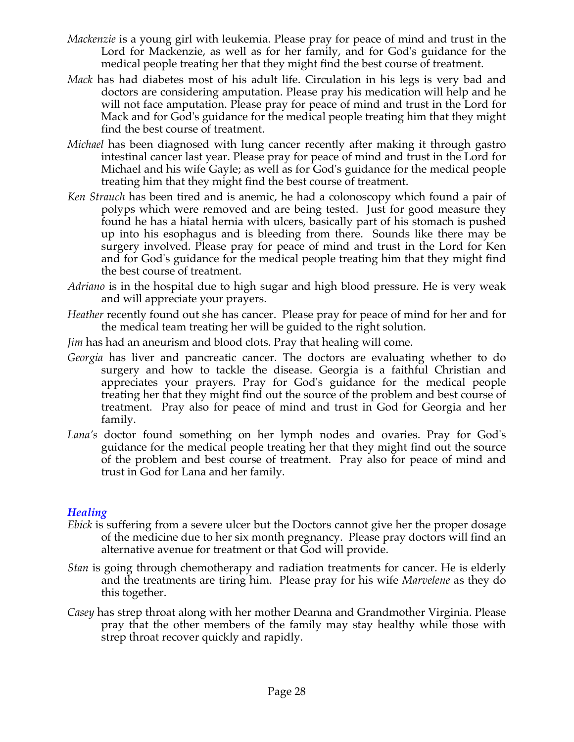- *Mackenzie* is a young girl with leukemia. Please pray for peace of mind and trust in the Lord for Mackenzie, as well as for her family, and for God's guidance for the medical people treating her that they might find the best course of treatment.
- *Mack* has had diabetes most of his adult life. Circulation in his legs is very bad and doctors are considering amputation. Please pray his medication will help and he will not face amputation. Please pray for peace of mind and trust in the Lord for Mack and for God's guidance for the medical people treating him that they might find the best course of treatment.
- *Michael* has been diagnosed with lung cancer recently after making it through gastro intestinal cancer last year. Please pray for peace of mind and trust in the Lord for Michael and his wife Gayle; as well as for God's guidance for the medical people treating him that they might find the best course of treatment.
- *Ken Strauch* has been tired and is anemic, he had a colonoscopy which found a pair of polyps which were removed and are being tested. Just for good measure they found he has a hiatal hernia with ulcers, basically part of his stomach is pushed up into his esophagus and is bleeding from there. Sounds like there may be surgery involved. Please pray for peace of mind and trust in the Lord for Ken and for God's guidance for the medical people treating him that they might find the best course of treatment.
- *Adriano* is in the hospital due to high sugar and high blood pressure. He is very weak and will appreciate your prayers.
- *Heather* recently found out she has cancer. Please pray for peace of mind for her and for the medical team treating her will be guided to the right solution.
- *Jim* has had an aneurism and blood clots. Pray that healing will come.
- *Georgia* has liver and pancreatic cancer. The doctors are evaluating whether to do surgery and how to tackle the disease. Georgia is a faithful Christian and appreciates your prayers. Pray for God's guidance for the medical people treating her that they might find out the source of the problem and best course of treatment. Pray also for peace of mind and trust in God for Georgia and her family.
- *Lana's* doctor found something on her lymph nodes and ovaries. Pray for God's guidance for the medical people treating her that they might find out the source of the problem and best course of treatment. Pray also for peace of mind and trust in God for Lana and her family.

### *Healing*

- *Ebick* is suffering from a severe ulcer but the Doctors cannot give her the proper dosage of the medicine due to her six month pregnancy. Please pray doctors will find an alternative avenue for treatment or that God will provide.
- *Stan* is going through chemotherapy and radiation treatments for cancer. He is elderly and the treatments are tiring him. Please pray for his wife *Marvelene* as they do this together.
- *Casey* has strep throat along with her mother Deanna and Grandmother Virginia. Please pray that the other members of the family may stay healthy while those with strep throat recover quickly and rapidly.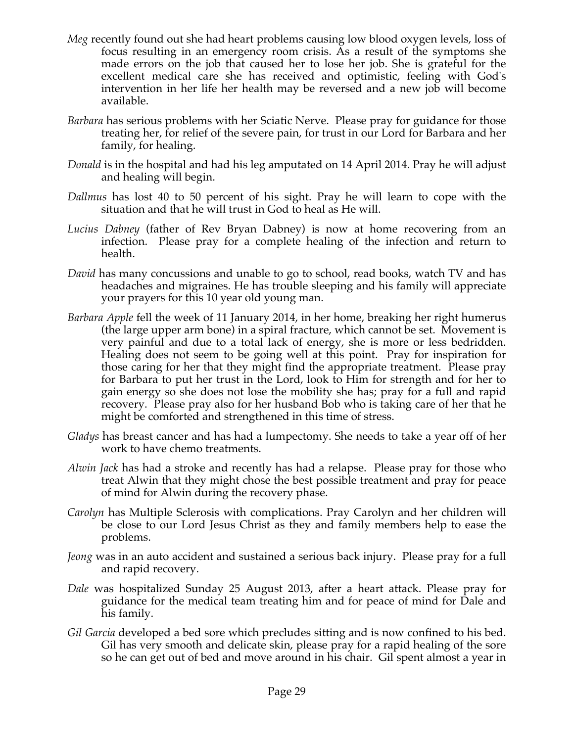- *Meg* recently found out she had heart problems causing low blood oxygen levels, loss of focus resulting in an emergency room crisis. As a result of the symptoms she made errors on the job that caused her to lose her job. She is grateful for the excellent medical care she has received and optimistic, feeling with God's intervention in her life her health may be reversed and a new job will become available.
- *Barbara* has serious problems with her Sciatic Nerve. Please pray for guidance for those treating her, for relief of the severe pain, for trust in our Lord for Barbara and her family, for healing.
- *Donald* is in the hospital and had his leg amputated on 14 April 2014. Pray he will adjust and healing will begin.
- *Dallmus* has lost 40 to 50 percent of his sight. Pray he will learn to cope with the situation and that he will trust in God to heal as He will.
- *Lucius Dabney* (father of Rev Bryan Dabney) is now at home recovering from an infection. Please pray for a complete healing of the infection and return to health.
- *David* has many concussions and unable to go to school, read books, watch TV and has headaches and migraines. He has trouble sleeping and his family will appreciate your prayers for this 10 year old young man.
- *Barbara Apple* fell the week of 11 January 2014, in her home, breaking her right humerus (the large upper arm bone) in a spiral fracture, which cannot be set. Movement is very painful and due to a total lack of energy, she is more or less bedridden. Healing does not seem to be going well at this point. Pray for inspiration for those caring for her that they might find the appropriate treatment. Please pray for Barbara to put her trust in the Lord, look to Him for strength and for her to gain energy so she does not lose the mobility she has; pray for a full and rapid recovery. Please pray also for her husband Bob who is taking care of her that he might be comforted and strengthened in this time of stress.
- *Gladys* has breast cancer and has had a lumpectomy. She needs to take a year off of her work to have chemo treatments.
- *Alwin Jack* has had a stroke and recently has had a relapse. Please pray for those who treat Alwin that they might chose the best possible treatment and pray for peace of mind for Alwin during the recovery phase.
- *Carolyn* has Multiple Sclerosis with complications. Pray Carolyn and her children will be close to our Lord Jesus Christ as they and family members help to ease the problems.
- *Jeong* was in an auto accident and sustained a serious back injury. Please pray for a full and rapid recovery.
- *Dale* was hospitalized Sunday 25 August 2013, after a heart attack. Please pray for guidance for the medical team treating him and for peace of mind for Dale and his family.
- *Gil Garcia* developed a bed sore which precludes sitting and is now confined to his bed. Gil has very smooth and delicate skin, please pray for a rapid healing of the sore so he can get out of bed and move around in his chair. Gil spent almost a year in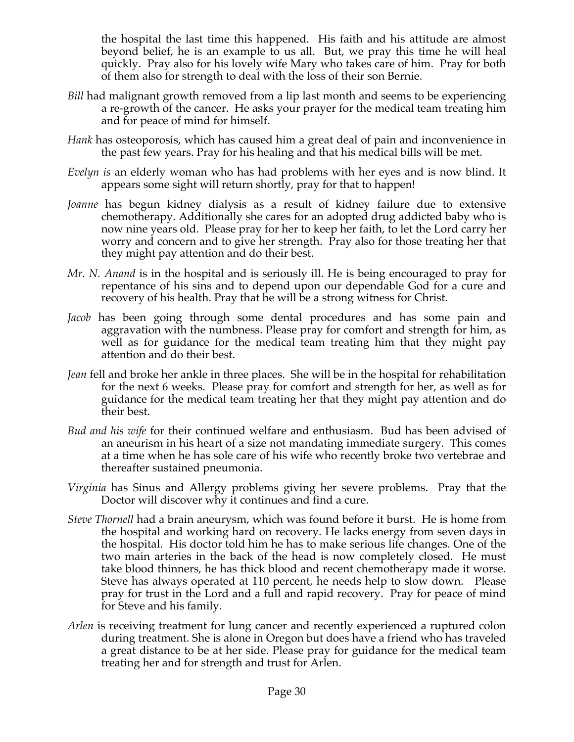the hospital the last time this happened. His faith and his attitude are almost beyond belief, he is an example to us all. But, we pray this time he will heal quickly. Pray also for his lovely wife Mary who takes care of him. Pray for both of them also for strength to deal with the loss of their son Bernie.

- *Bill* had malignant growth removed from a lip last month and seems to be experiencing a re-growth of the cancer. He asks your prayer for the medical team treating him and for peace of mind for himself.
- *Hank* has osteoporosis, which has caused him a great deal of pain and inconvenience in the past few years. Pray for his healing and that his medical bills will be met.
- *Evelyn is* an elderly woman who has had problems with her eyes and is now blind. It appears some sight will return shortly, pray for that to happen!
- *Joanne* has begun kidney dialysis as a result of kidney failure due to extensive chemotherapy. Additionally she cares for an adopted drug addicted baby who is now nine years old. Please pray for her to keep her faith, to let the Lord carry her worry and concern and to give her strength. Pray also for those treating her that they might pay attention and do their best.
- *Mr. N. Anand* is in the hospital and is seriously ill. He is being encouraged to pray for repentance of his sins and to depend upon our dependable God for a cure and recovery of his health. Pray that he will be a strong witness for Christ.
- *Jacob* has been going through some dental procedures and has some pain and aggravation with the numbness. Please pray for comfort and strength for him, as well as for guidance for the medical team treating him that they might pay attention and do their best.
- *Jean* fell and broke her ankle in three places. She will be in the hospital for rehabilitation for the next 6 weeks. Please pray for comfort and strength for her, as well as for guidance for the medical team treating her that they might pay attention and do their best.
- *Bud and his wife* for their continued welfare and enthusiasm. Bud has been advised of an aneurism in his heart of a size not mandating immediate surgery. This comes at a time when he has sole care of his wife who recently broke two vertebrae and thereafter sustained pneumonia.
- *Virginia* has Sinus and Allergy problems giving her severe problems. Pray that the Doctor will discover why it continues and find a cure.
- *Steve Thornell* had a brain aneurysm, which was found before it burst. He is home from the hospital and working hard on recovery. He lacks energy from seven days in the hospital. His doctor told him he has to make serious life changes. One of the two main arteries in the back of the head is now completely closed. He must take blood thinners, he has thick blood and recent chemotherapy made it worse. Steve has always operated at 110 percent, he needs help to slow down. Please pray for trust in the Lord and a full and rapid recovery. Pray for peace of mind for Steve and his family.
- *Arlen* is receiving treatment for lung cancer and recently experienced a ruptured colon during treatment. She is alone in Oregon but does have a friend who has traveled a great distance to be at her side. Please pray for guidance for the medical team treating her and for strength and trust for Arlen.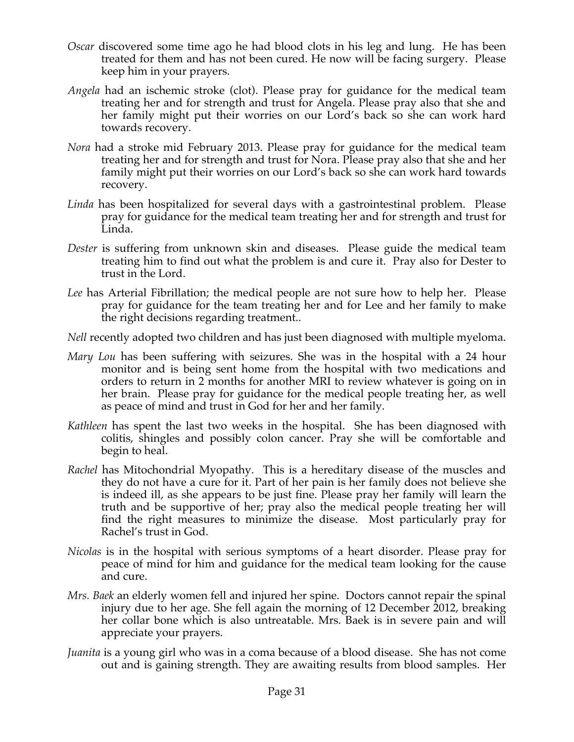- *Oscar* discovered some time ago he had blood clots in his leg and lung. He has been treated for them and has not been cured. He now will be facing surgery. Please keep him in your prayers.
- *Angela* had an ischemic stroke (clot). Please pray for guidance for the medical team treating her and for strength and trust for Angela. Please pray also that she and her family might put their worries on our Lord's back so she can work hard towards recovery.
- *Nora* had a stroke mid February 2013. Please pray for guidance for the medical team treating her and for strength and trust for Nora. Please pray also that she and her family might put their worries on our Lord's back so she can work hard towards recovery.
- *Linda* has been hospitalized for several days with a gastrointestinal problem. Please pray for guidance for the medical team treating her and for strength and trust for Linda.
- *Dester* is suffering from unknown skin and diseases. Please guide the medical team treating him to find out what the problem is and cure it. Pray also for Dester to trust in the Lord.
- *Lee* has Arterial Fibrillation; the medical people are not sure how to help her. Please pray for guidance for the team treating her and for Lee and her family to make the right decisions regarding treatment..
- *Nell* recently adopted two children and has just been diagnosed with multiple myeloma.
- *Mary Lou* has been suffering with seizures. She was in the hospital with a 24 hour monitor and is being sent home from the hospital with two medications and orders to return in 2 months for another MRI to review whatever is going on in her brain. Please pray for guidance for the medical people treating her, as well as peace of mind and trust in God for her and her family.
- *Kathleen* has spent the last two weeks in the hospital. She has been diagnosed with colitis, shingles and possibly colon cancer. Pray she will be comfortable and begin to heal.
- *Rachel* has Mitochondrial Myopathy. This is a hereditary disease of the muscles and they do not have a cure for it. Part of her pain is her family does not believe she is indeed ill, as she appears to be just fine. Please pray her family will learn the truth and be supportive of her; pray also the medical people treating her will find the right measures to minimize the disease. Most particularly pray for Rachel's trust in God.
- *Nicolas* is in the hospital with serious symptoms of a heart disorder. Please pray for peace of mind for him and guidance for the medical team looking for the cause and cure.
- *Mrs. Baek* an elderly women fell and injured her spine. Doctors cannot repair the spinal injury due to her age. She fell again the morning of 12 December 2012, breaking her collar bone which is also untreatable. Mrs. Baek is in severe pain and will appreciate your prayers.
- *Juanita* is a young girl who was in a coma because of a blood disease. She has not come out and is gaining strength. They are awaiting results from blood samples. Her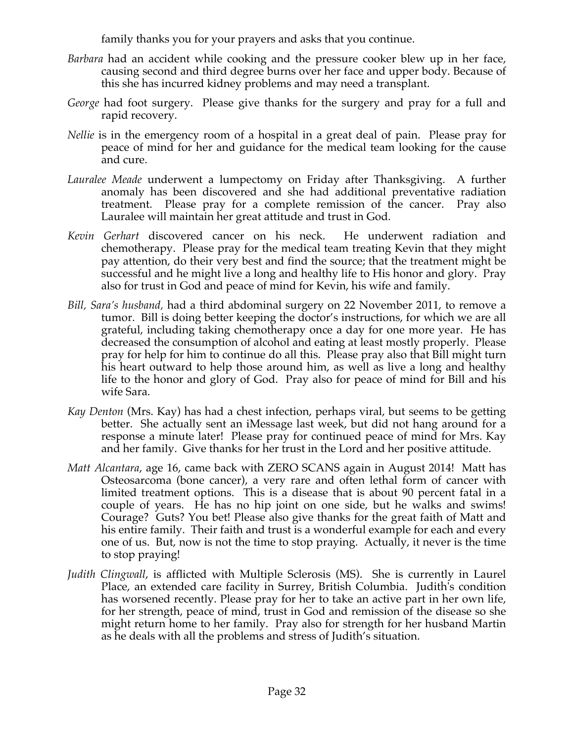family thanks you for your prayers and asks that you continue.

- *Barbara* had an accident while cooking and the pressure cooker blew up in her face, causing second and third degree burns over her face and upper body. Because of this she has incurred kidney problems and may need a transplant.
- *George* had foot surgery. Please give thanks for the surgery and pray for a full and rapid recovery.
- *Nellie* is in the emergency room of a hospital in a great deal of pain. Please pray for peace of mind for her and guidance for the medical team looking for the cause and cure.
- *Lauralee Meade* underwent a lumpectomy on Friday after Thanksgiving. A further anomaly has been discovered and she had additional preventative radiation treatment. Please pray for a complete remission of the cancer. Pray also Lauralee will maintain her great attitude and trust in God.
- *Kevin Gerhart* discovered cancer on his neck. He underwent radiation and chemotherapy. Please pray for the medical team treating Kevin that they might pay attention, do their very best and find the source; that the treatment might be successful and he might live a long and healthy life to His honor and glory. Pray also for trust in God and peace of mind for Kevin, his wife and family.
- *Bill, Sara's husband,* had a third abdominal surgery on 22 November 2011, to remove a tumor. Bill is doing better keeping the doctor's instructions, for which we are all grateful, including taking chemotherapy once a day for one more year. He has decreased the consumption of alcohol and eating at least mostly properly. Please pray for help for him to continue do all this. Please pray also that Bill might turn his heart outward to help those around him, as well as live a long and healthy life to the honor and glory of God. Pray also for peace of mind for Bill and his wife Sara.
- *Kay Denton* (Mrs. Kay) has had a chest infection, perhaps viral, but seems to be getting better. She actually sent an iMessage last week, but did not hang around for a response a minute later! Please pray for continued peace of mind for Mrs. Kay and her family. Give thanks for her trust in the Lord and her positive attitude.
- *Matt Alcantara*, age 16, came back with ZERO SCANS again in August 2014! Matt has Osteosarcoma (bone cancer), a very rare and often lethal form of cancer with limited treatment options. This is a disease that is about 90 percent fatal in a couple of years. He has no hip joint on one side, but he walks and swims! Courage? Guts? You bet! Please also give thanks for the great faith of Matt and his entire family. Their faith and trust is a wonderful example for each and every one of us. But, now is not the time to stop praying. Actually, it never is the time to stop praying!
- *Judith Clingwall*, is afflicted with Multiple Sclerosis (MS). She is currently in Laurel Place, an extended care facility in Surrey, British Columbia. Judith's condition has worsened recently. Please pray for her to take an active part in her own life, for her strength, peace of mind, trust in God and remission of the disease so she might return home to her family. Pray also for strength for her husband Martin as he deals with all the problems and stress of Judith's situation.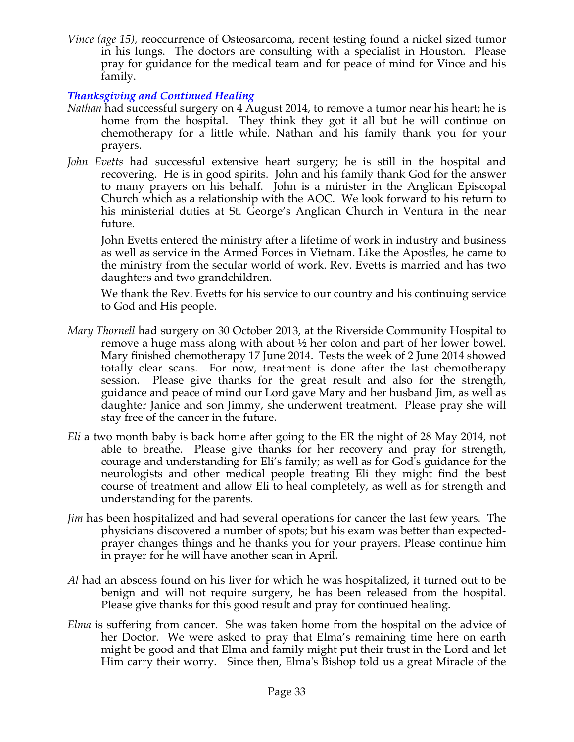*Vince (age 15),* reoccurrence of Osteosarcoma, recent testing found a nickel sized tumor in his lungs. The doctors are consulting with a specialist in Houston. Please pray for guidance for the medical team and for peace of mind for Vince and his family.

## *Thanksgiving and Continued Healing*

- *Nathan* had successful surgery on 4 August 2014, to remove a tumor near his heart; he is home from the hospital. They think they got it all but he will continue on chemotherapy for a little while. Nathan and his family thank you for your prayers.
- *John Evetts* had successful extensive heart surgery; he is still in the hospital and recovering. He is in good spirits. John and his family thank God for the answer to many prayers on his behalf. John is a minister in the Anglican Episcopal Church which as a relationship with the AOC. We look forward to his return to his ministerial duties at St. George's Anglican Church in Ventura in the near future.

John Evetts entered the ministry after a lifetime of work in industry and business as well as service in the Armed Forces in Vietnam. Like the Apostles, he came to the ministry from the secular world of work. Rev. Evetts is married and has two daughters and two grandchildren.

We thank the Rev. Evetts for his service to our country and his continuing service to God and His people.

- *Mary Thornell* had surgery on 30 October 2013, at the Riverside Community Hospital to remove a huge mass along with about ½ her colon and part of her lower bowel. Mary finished chemotherapy 17 June 2014. Tests the week of 2 June 2014 showed totally clear scans. For now, treatment is done after the last chemotherapy session. Please give thanks for the great result and also for the strength, guidance and peace of mind our Lord gave Mary and her husband Jim, as well as daughter Janice and son Jimmy, she underwent treatment. Please pray she will stay free of the cancer in the future.
- *Eli* a two month baby is back home after going to the ER the night of 28 May 2014, not able to breathe. Please give thanks for her recovery and pray for strength, courage and understanding for Eli's family; as well as for God's guidance for the neurologists and other medical people treating Eli they might find the best course of treatment and allow Eli to heal completely, as well as for strength and understanding for the parents.
- *Jim* has been hospitalized and had several operations for cancer the last few years. The physicians discovered a number of spots; but his exam was better than expectedprayer changes things and he thanks you for your prayers. Please continue him in prayer for he will have another scan in April.
- *Al* had an abscess found on his liver for which he was hospitalized, it turned out to be benign and will not require surgery, he has been released from the hospital. Please give thanks for this good result and pray for continued healing.
- *Elma* is suffering from cancer. She was taken home from the hospital on the advice of her Doctor. We were asked to pray that Elma's remaining time here on earth might be good and that Elma and family might put their trust in the Lord and let Him carry their worry. Since then, Elma's Bishop told us a great Miracle of the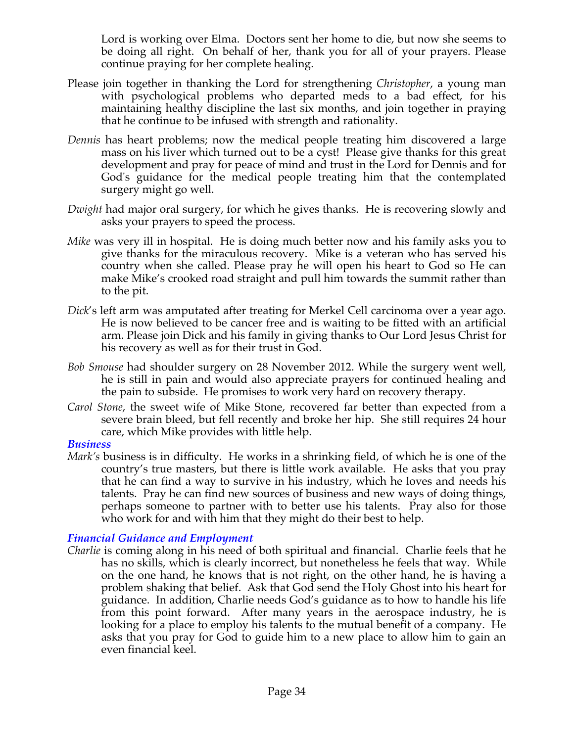Lord is working over Elma. Doctors sent her home to die, but now she seems to be doing all right. On behalf of her, thank you for all of your prayers. Please continue praying for her complete healing.

- Please join together in thanking the Lord for strengthening *Christopher*, a young man with psychological problems who departed meds to a bad effect, for his maintaining healthy discipline the last six months, and join together in praying that he continue to be infused with strength and rationality.
- *Dennis* has heart problems; now the medical people treating him discovered a large mass on his liver which turned out to be a cyst! Please give thanks for this great development and pray for peace of mind and trust in the Lord for Dennis and for God's guidance for the medical people treating him that the contemplated surgery might go well.
- *Dwight* had major oral surgery, for which he gives thanks. He is recovering slowly and asks your prayers to speed the process.
- *Mike* was very ill in hospital. He is doing much better now and his family asks you to give thanks for the miraculous recovery. Mike is a veteran who has served his country when she called. Please pray he will open his heart to God so He can make Mike's crooked road straight and pull him towards the summit rather than to the pit.
- *Dick*'s left arm was amputated after treating for Merkel Cell carcinoma over a year ago. He is now believed to be cancer free and is waiting to be fitted with an artificial arm. Please join Dick and his family in giving thanks to Our Lord Jesus Christ for his recovery as well as for their trust in God.
- *Bob Smouse* had shoulder surgery on 28 November 2012. While the surgery went well, he is still in pain and would also appreciate prayers for continued healing and the pain to subside. He promises to work very hard on recovery therapy.
- *Carol Stone*, the sweet wife of Mike Stone, recovered far better than expected from a severe brain bleed, but fell recently and broke her hip. She still requires 24 hour care, which Mike provides with little help.

### *Business*

*Mark's* business is in difficulty. He works in a shrinking field, of which he is one of the country's true masters, but there is little work available. He asks that you pray that he can find a way to survive in his industry, which he loves and needs his talents. Pray he can find new sources of business and new ways of doing things, perhaps someone to partner with to better use his talents. Pray also for those who work for and with him that they might do their best to help.

### *Financial Guidance and Employment*

*Charlie* is coming along in his need of both spiritual and financial. Charlie feels that he has no skills, which is clearly incorrect, but nonetheless he feels that way. While on the one hand, he knows that is not right, on the other hand, he is having a problem shaking that belief. Ask that God send the Holy Ghost into his heart for guidance. In addition, Charlie needs God's guidance as to how to handle his life from this point forward. After many years in the aerospace industry, he is looking for a place to employ his talents to the mutual benefit of a company. He asks that you pray for God to guide him to a new place to allow him to gain an even financial keel.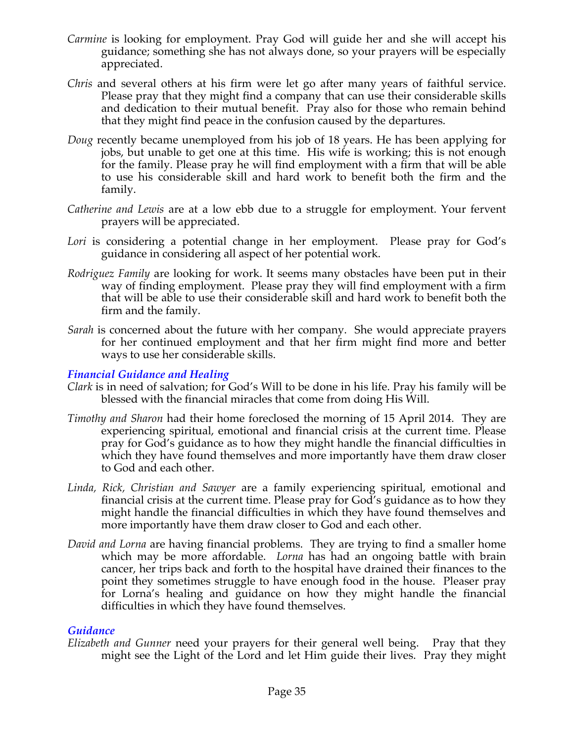- *Carmine* is looking for employment. Pray God will guide her and she will accept his guidance; something she has not always done, so your prayers will be especially appreciated.
- *Chris* and several others at his firm were let go after many years of faithful service. Please pray that they might find a company that can use their considerable skills and dedication to their mutual benefit. Pray also for those who remain behind that they might find peace in the confusion caused by the departures.
- *Doug* recently became unemployed from his job of 18 years. He has been applying for jobs, but unable to get one at this time. His wife is working; this is not enough for the family. Please pray he will find employment with a firm that will be able to use his considerable skill and hard work to benefit both the firm and the family.
- *Catherine and Lewis* are at a low ebb due to a struggle for employment. Your fervent prayers will be appreciated.
- Lori is considering a potential change in her employment. Please pray for God's guidance in considering all aspect of her potential work.
- *Rodriguez Family* are looking for work. It seems many obstacles have been put in their way of finding employment. Please pray they will find employment with a firm that will be able to use their considerable skill and hard work to benefit both the firm and the family.
- *Sarah* is concerned about the future with her company. She would appreciate prayers for her continued employment and that her firm might find more and better ways to use her considerable skills.

### *Financial Guidance and Healing*

- *Clark* is in need of salvation; for God's Will to be done in his life. Pray his family will be blessed with the financial miracles that come from doing His Will.
- *Timothy and Sharon* had their home foreclosed the morning of 15 April 2014. They are experiencing spiritual, emotional and financial crisis at the current time. Please pray for God's guidance as to how they might handle the financial difficulties in which they have found themselves and more importantly have them draw closer to God and each other.
- *Linda, Rick, Christian and Sawyer* are a family experiencing spiritual, emotional and financial crisis at the current time. Please pray for God's guidance as to how they might handle the financial difficulties in which they have found themselves and more importantly have them draw closer to God and each other.
- *David and Lorna* are having financial problems. They are trying to find a smaller home which may be more affordable. *Lorna* has had an ongoing battle with brain cancer, her trips back and forth to the hospital have drained their finances to the point they sometimes struggle to have enough food in the house. Pleaser pray for Lorna's healing and guidance on how they might handle the financial difficulties in which they have found themselves.

### *Guidance*

*Elizabeth and Gunner* need your prayers for their general well being. Pray that they might see the Light of the Lord and let Him guide their lives. Pray they might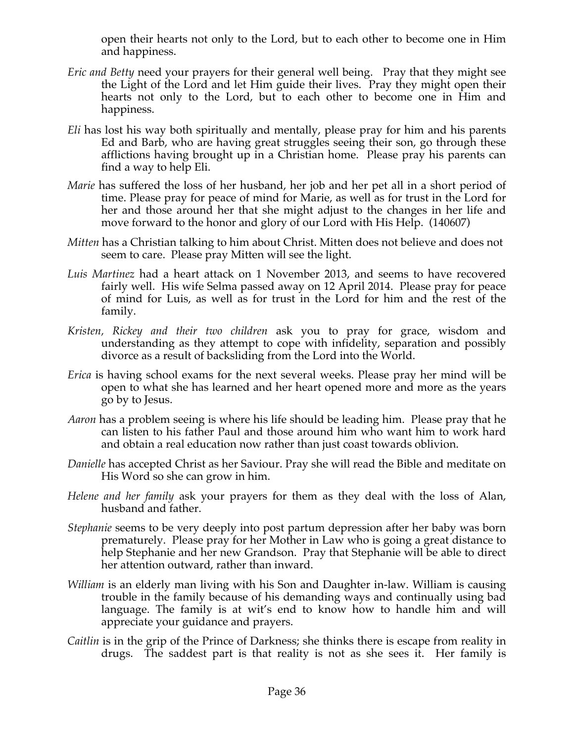open their hearts not only to the Lord, but to each other to become one in Him and happiness.

- *Eric and Betty* need your prayers for their general well being. Pray that they might see the Light of the Lord and let Him guide their lives. Pray they might open their hearts not only to the Lord, but to each other to become one in Him and happiness.
- *Eli* has lost his way both spiritually and mentally, please pray for him and his parents Ed and Barb, who are having great struggles seeing their son, go through these afflictions having brought up in a Christian home. Please pray his parents can find a way to help Eli.
- *Marie* has suffered the loss of her husband, her job and her pet all in a short period of time. Please pray for peace of mind for Marie, as well as for trust in the Lord for her and those around her that she might adjust to the changes in her life and move forward to the honor and glory of our Lord with His Help. (140607)
- *Mitten* has a Christian talking to him about Christ. Mitten does not believe and does not seem to care. Please pray Mitten will see the light.
- *Luis Martinez* had a heart attack on 1 November 2013, and seems to have recovered fairly well. His wife Selma passed away on 12 April 2014. Please pray for peace of mind for Luis, as well as for trust in the Lord for him and the rest of the family.
- *Kristen, Rickey and their two children* ask you to pray for grace, wisdom and understanding as they attempt to cope with infidelity, separation and possibly divorce as a result of backsliding from the Lord into the World.
- *Erica* is having school exams for the next several weeks. Please pray her mind will be open to what she has learned and her heart opened more and more as the years go by to Jesus.
- *Aaron* has a problem seeing is where his life should be leading him. Please pray that he can listen to his father Paul and those around him who want him to work hard and obtain a real education now rather than just coast towards oblivion.
- *Danielle* has accepted Christ as her Saviour. Pray she will read the Bible and meditate on His Word so she can grow in him.
- *Helene and her family* ask your prayers for them as they deal with the loss of Alan, husband and father.
- *Stephanie* seems to be very deeply into post partum depression after her baby was born prematurely. Please pray for her Mother in Law who is going a great distance to help Stephanie and her new Grandson. Pray that Stephanie will be able to direct her attention outward, rather than inward.
- *William* is an elderly man living with his Son and Daughter in-law. William is causing trouble in the family because of his demanding ways and continually using bad language. The family is at wit's end to know how to handle him and will appreciate your guidance and prayers.
- *Caitlin* is in the grip of the Prince of Darkness; she thinks there is escape from reality in drugs. The saddest part is that reality is not as she sees it. Her family is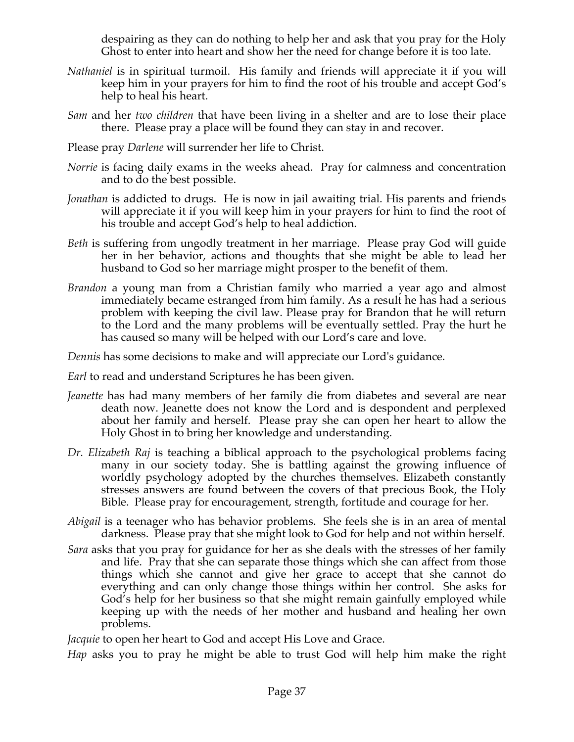despairing as they can do nothing to help her and ask that you pray for the Holy Ghost to enter into heart and show her the need for change before it is too late.

- *Nathaniel* is in spiritual turmoil. His family and friends will appreciate it if you will keep him in your prayers for him to find the root of his trouble and accept God's help to heal his heart.
- *Sam* and her *two children* that have been living in a shelter and are to lose their place there. Please pray a place will be found they can stay in and recover.
- Please pray *Darlene* will surrender her life to Christ.
- *Norrie* is facing daily exams in the weeks ahead. Pray for calmness and concentration and to do the best possible.
- *Jonathan* is addicted to drugs. He is now in jail awaiting trial. His parents and friends will appreciate it if you will keep him in your prayers for him to find the root of his trouble and accept God's help to heal addiction.
- *Beth* is suffering from ungodly treatment in her marriage. Please pray God will guide her in her behavior, actions and thoughts that she might be able to lead her husband to God so her marriage might prosper to the benefit of them.
- *Brandon* a young man from a Christian family who married a year ago and almost immediately became estranged from him family. As a result he has had a serious problem with keeping the civil law. Please pray for Brandon that he will return to the Lord and the many problems will be eventually settled. Pray the hurt he has caused so many will be helped with our Lord's care and love.

*Dennis* has some decisions to make and will appreciate our Lord's guidance.

*Earl* to read and understand Scriptures he has been given.

- *Jeanette* has had many members of her family die from diabetes and several are near death now. Jeanette does not know the Lord and is despondent and perplexed about her family and herself. Please pray she can open her heart to allow the Holy Ghost in to bring her knowledge and understanding.
- *Dr. Elizabeth Raj* is teaching a biblical approach to the psychological problems facing many in our society today. She is battling against the growing influence of worldly psychology adopted by the churches themselves. Elizabeth constantly stresses answers are found between the covers of that precious Book, the Holy Bible. Please pray for encouragement, strength, fortitude and courage for her.
- *Abigail* is a teenager who has behavior problems. She feels she is in an area of mental darkness. Please pray that she might look to God for help and not within herself.
- *Sara* asks that you pray for guidance for her as she deals with the stresses of her family and life. Pray that she can separate those things which she can affect from those things which she cannot and give her grace to accept that she cannot do everything and can only change those things within her control. She asks for God's help for her business so that she might remain gainfully employed while keeping up with the needs of her mother and husband and healing her own problems.

*Jacquie* to open her heart to God and accept His Love and Grace.

*Hap* asks you to pray he might be able to trust God will help him make the right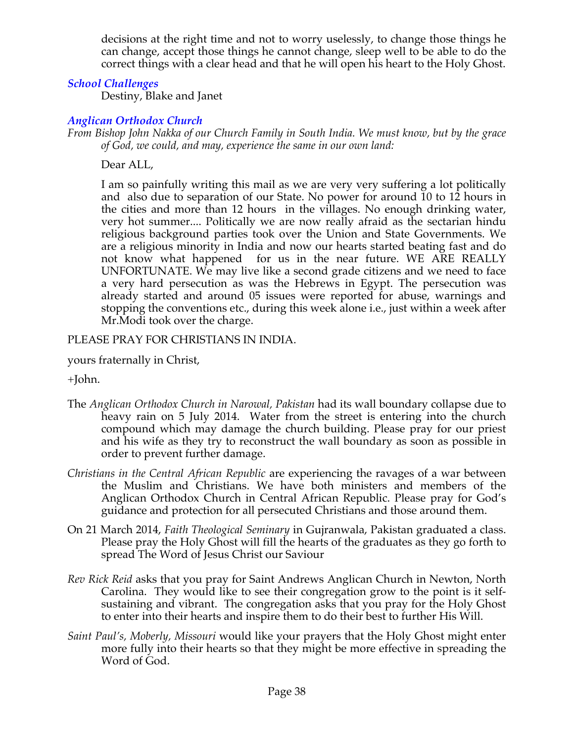decisions at the right time and not to worry uselessly, to change those things he can change, accept those things he cannot change, sleep well to be able to do the correct things with a clear head and that he will open his heart to the Holy Ghost.

## *School Challenges*

Destiny, Blake and Janet

## *Anglican Orthodox Church*

*From Bishop John Nakka of our Church Family in South India. We must know, but by the grace of God, we could, and may, experience the same in our own land:*

Dear ALL,

I am so painfully writing this mail as we are very very suffering a lot politically and also due to separation of our State. No power for around 10 to 12 hours in the cities and more than 12 hours in the villages. No enough drinking water, very hot summer.... Politically we are now really afraid as the sectarian hindu religious background parties took over the Union and State Governments. We are a religious minority in India and now our hearts started beating fast and do not know what happened for us in the near future. WE ARE REALLY UNFORTUNATE. We may live like a second grade citizens and we need to face a very hard persecution as was the Hebrews in Egypt. The persecution was already started and around 05 issues were reported for abuse, warnings and stopping the conventions etc., during this week alone i.e., just within a week after Mr.Modi took over the charge.

PLEASE PRAY FOR CHRISTIANS IN INDIA.

yours fraternally in Christ,

+John.

- The *Anglican Orthodox Church in Narowal, Pakistan* had its wall boundary collapse due to heavy rain on 5 July 2014. Water from the street is entering into the church compound which may damage the church building. Please pray for our priest and his wife as they try to reconstruct the wall boundary as soon as possible in order to prevent further damage.
- *Christians in the Central African Republic* are experiencing the ravages of a war between the Muslim and Christians. We have both ministers and members of the Anglican Orthodox Church in Central African Republic. Please pray for God's guidance and protection for all persecuted Christians and those around them.
- On 21 March 2014, *Faith Theological Seminary* in Gujranwala, Pakistan graduated a class. Please pray the Holy Ghost will fill the hearts of the graduates as they go forth to spread The Word of Jesus Christ our Saviour
- *Rev Rick Reid* asks that you pray for Saint Andrews Anglican Church in Newton, North Carolina. They would like to see their congregation grow to the point is it selfsustaining and vibrant. The congregation asks that you pray for the Holy Ghost to enter into their hearts and inspire them to do their best to further His Will.
- *Saint Paul's, Moberly, Missouri* would like your prayers that the Holy Ghost might enter more fully into their hearts so that they might be more effective in spreading the Word of God.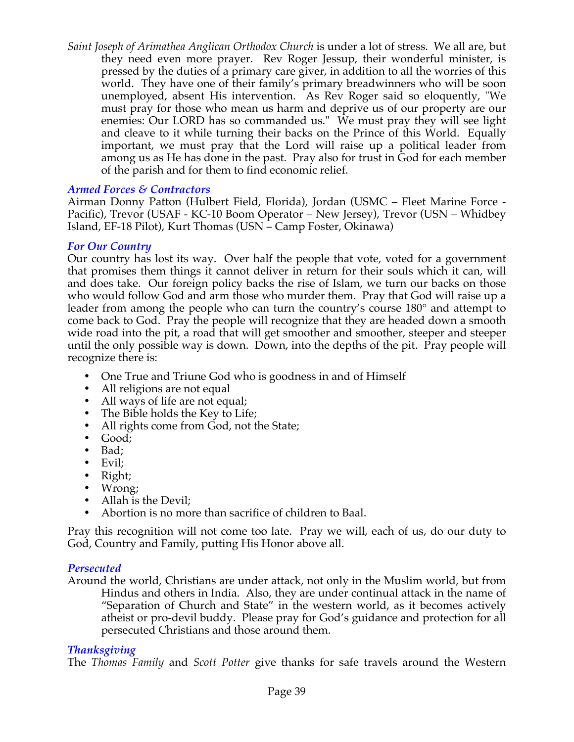*Saint Joseph of Arimathea Anglican Orthodox Church* is under a lot of stress. We all are, but they need even more prayer. Rev Roger Jessup, their wonderful minister, is pressed by the duties of a primary care giver, in addition to all the worries of this world. They have one of their family's primary breadwinners who will be soon unemployed, absent His intervention. As Rev Roger said so eloquently, "We must pray for those who mean us harm and deprive us of our property are our enemies: Our LORD has so commanded us." We must pray they will see light and cleave to it while turning their backs on the Prince of this World. Equally important, we must pray that the Lord will raise up a political leader from among us as He has done in the past. Pray also for trust in God for each member of the parish and for them to find economic relief.

### *Armed Forces & Contractors*

Airman Donny Patton (Hulbert Field, Florida), Jordan (USMC – Fleet Marine Force - Pacific), Trevor (USAF - KC-10 Boom Operator – New Jersey), Trevor (USN – Whidbey Island, EF-18 Pilot), Kurt Thomas (USN – Camp Foster, Okinawa)

### *For Our Country*

Our country has lost its way. Over half the people that vote, voted for a government that promises them things it cannot deliver in return for their souls which it can, will and does take. Our foreign policy backs the rise of Islam, we turn our backs on those who would follow God and arm those who murder them. Pray that God will raise up a leader from among the people who can turn the country's course 180° and attempt to come back to God. Pray the people will recognize that they are headed down a smooth wide road into the pit, a road that will get smoother and smoother, steeper and steeper until the only possible way is down. Down, into the depths of the pit. Pray people will recognize there is:

- One True and Triune God who is goodness in and of Himself
- All religions are not equal
- All ways of life are not equal;
- The Bible holds the Key to Life;
- All rights come from God, not the State;
- Good;
- Bad;
- Evil;
- Right;
- Wrong;
- Allah is the Devil;
- Abortion is no more than sacrifice of children to Baal.

Pray this recognition will not come too late. Pray we will, each of us, do our duty to God, Country and Family, putting His Honor above all.

### *Persecuted*

Around the world, Christians are under attack, not only in the Muslim world, but from Hindus and others in India. Also, they are under continual attack in the name of "Separation of Church and State" in the western world, as it becomes actively atheist or pro-devil buddy. Please pray for God's guidance and protection for all persecuted Christians and those around them.

### *Thanksgiving*

The *Thomas Family* and *Scott Potter* give thanks for safe travels around the Western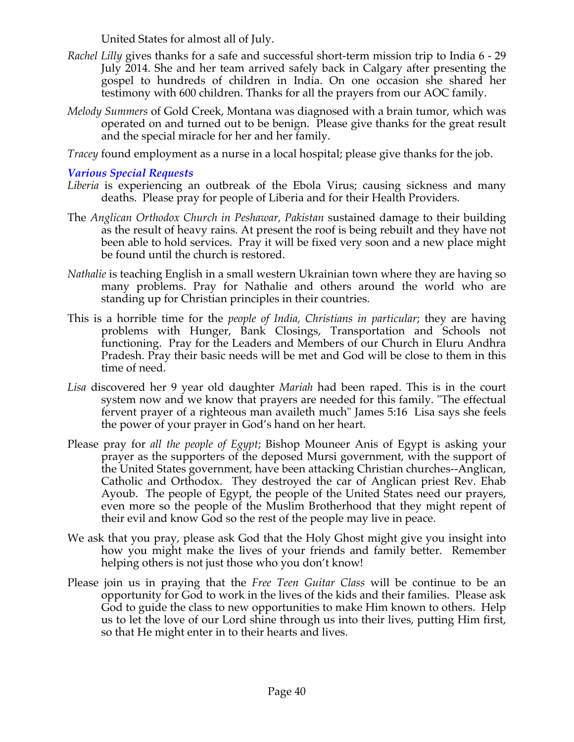United States for almost all of July.

- *Rachel Lilly* gives thanks for a safe and successful short-term mission trip to India 6 29 July 2014. She and her team arrived safely back in Calgary after presenting the gospel to hundreds of children in India. On one occasion she shared her testimony with 600 children. Thanks for all the prayers from our AOC family.
- *Melody Summers* of Gold Creek, Montana was diagnosed with a brain tumor, which was operated on and turned out to be benign. Please give thanks for the great result and the special miracle for her and her family.

*Tracey* found employment as a nurse in a local hospital; please give thanks for the job.

*Various Special Requests*

- *Liberia* is experiencing an outbreak of the Ebola Virus; causing sickness and many deaths. Please pray for people of Liberia and for their Health Providers.
- The *Anglican Orthodox Church in Peshawar, Pakistan* sustained damage to their building as the result of heavy rains. At present the roof is being rebuilt and they have not been able to hold services. Pray it will be fixed very soon and a new place might be found until the church is restored.
- *Nathalie* is teaching English in a small western Ukrainian town where they are having so many problems. Pray for Nathalie and others around the world who are standing up for Christian principles in their countries.
- This is a horrible time for the *people of India, Christians in particular*; they are having problems with Hunger, Bank Closings, Transportation and Schools not functioning. Pray for the Leaders and Members of our Church in Eluru Andhra Pradesh. Pray their basic needs will be met and God will be close to them in this time of need.
- *Lisa* discovered her 9 year old daughter *Mariah* had been raped. This is in the court system now and we know that prayers are needed for this family. "The effectual fervent prayer of a righteous man availeth much" James 5:16 Lisa says she feels the power of your prayer in God's hand on her heart.
- Please pray for *all the people of Egypt*; Bishop Mouneer Anis of Egypt is asking your prayer as the supporters of the deposed Mursi government, with the support of the United States government, have been attacking Christian churches--Anglican, Catholic and Orthodox. They destroyed the car of Anglican priest Rev. Ehab Ayoub. The people of Egypt, the people of the United States need our prayers, even more so the people of the Muslim Brotherhood that they might repent of their evil and know God so the rest of the people may live in peace.
- We ask that you pray, please ask God that the Holy Ghost might give you insight into how you might make the lives of your friends and family better. Remember helping others is not just those who you don't know!
- Please join us in praying that the *Free Teen Guitar Class* will be continue to be an opportunity for God to work in the lives of the kids and their families. Please ask God to guide the class to new opportunities to make Him known to others. Help us to let the love of our Lord shine through us into their lives, putting Him first, so that He might enter in to their hearts and lives.